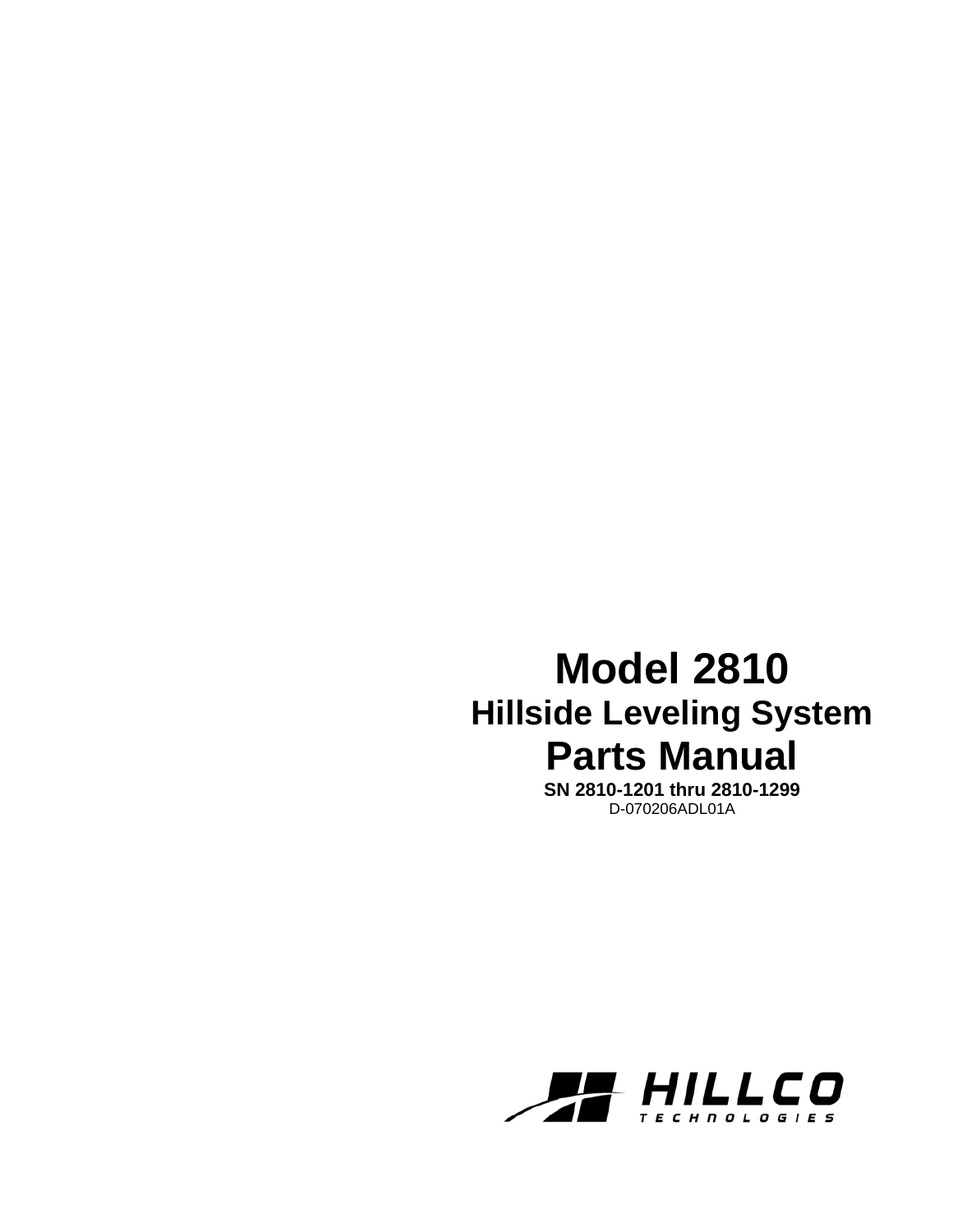## **Model 2810 Hillside Leveling System Parts Manual**

**SN 2810-1201 thru 2810-1299**  D-070206ADL01A

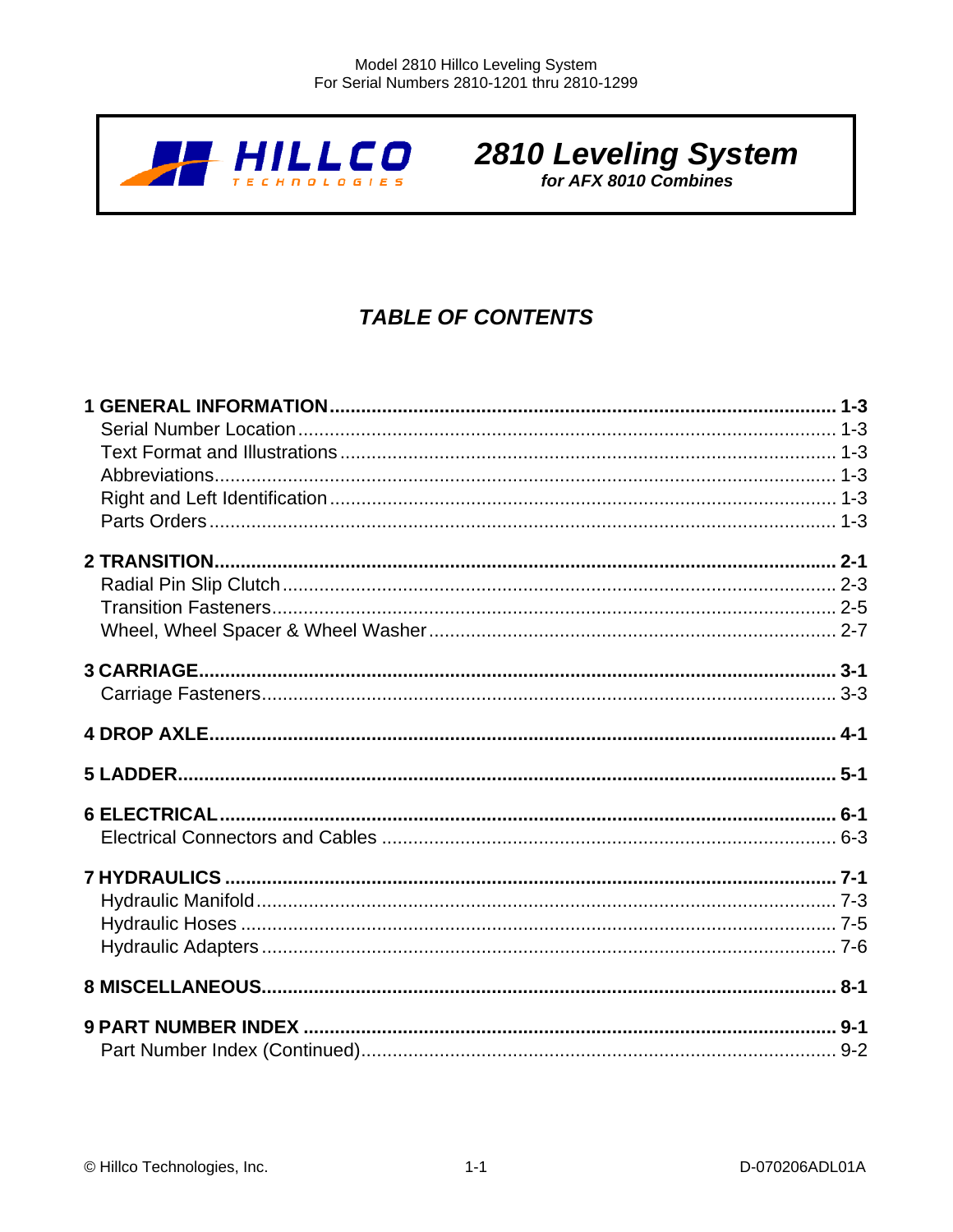

# 2810 Leveling System

## **TABLE OF CONTENTS**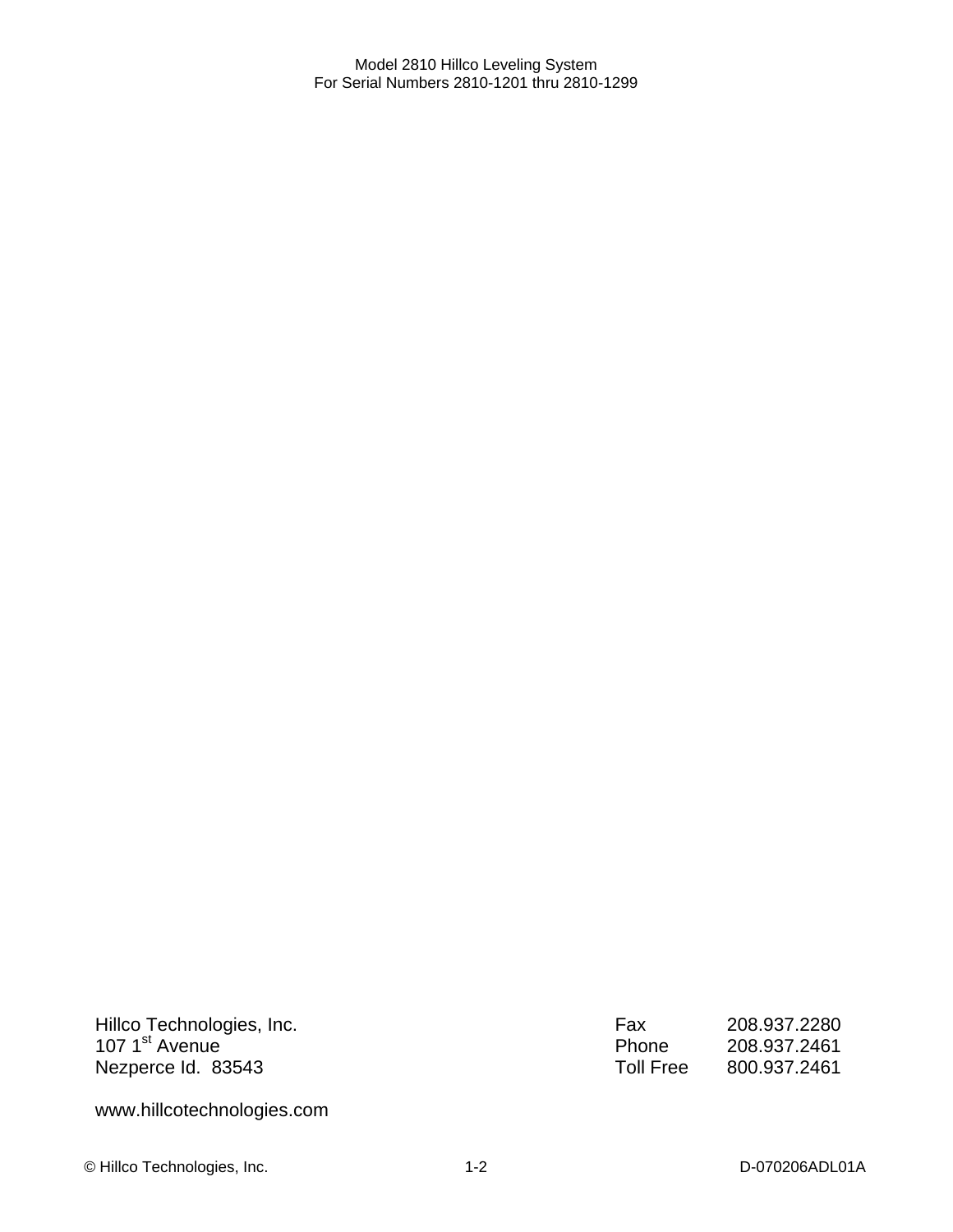Hillco Technologies, Inc. 107 1<sup>st</sup> Avenue Nezperce Id. 83543

Fax 208.937.2280 Phone 208.937.2461<br>Toll Free 800.937.2461 Toll Free 800.937.2461

www.hillcotechnologies.com

© Hillco Technologies, Inc. 1-2 1-2 D-070206ADL01A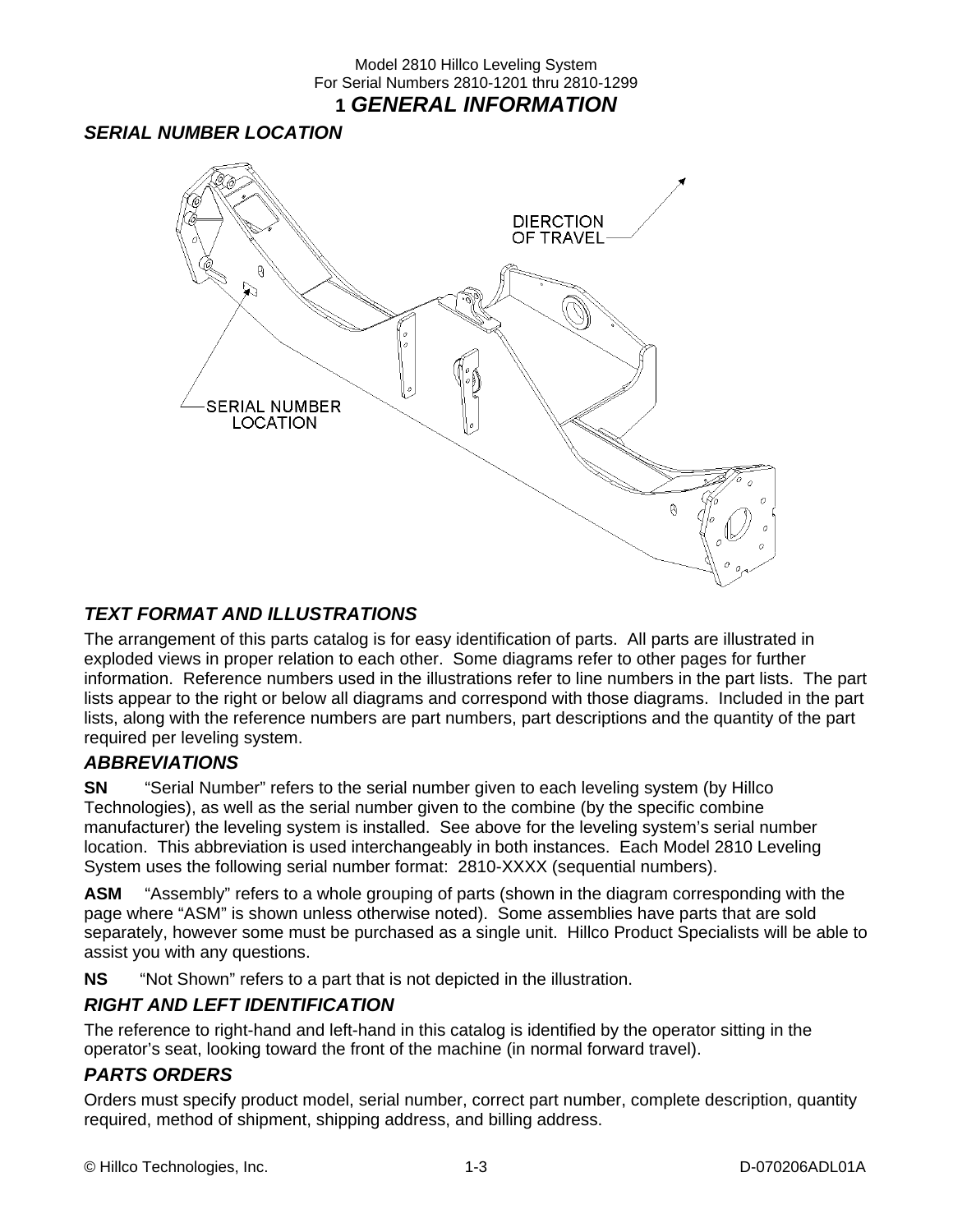#### Model 2810 Hillco Leveling System For Serial Numbers 2810-1201 thru 2810-1299 **1** *GENERAL INFORMATION*

#### *SERIAL NUMBER LOCATION*



#### *TEXT FORMAT AND ILLUSTRATIONS*

The arrangement of this parts catalog is for easy identification of parts. All parts are illustrated in exploded views in proper relation to each other. Some diagrams refer to other pages for further information. Reference numbers used in the illustrations refer to line numbers in the part lists. The part lists appear to the right or below all diagrams and correspond with those diagrams. Included in the part lists, along with the reference numbers are part numbers, part descriptions and the quantity of the part required per leveling system.

#### *ABBREVIATIONS*

**SN** "Serial Number" refers to the serial number given to each leveling system (by Hillco Technologies), as well as the serial number given to the combine (by the specific combine manufacturer) the leveling system is installed. See above for the leveling system's serial number location. This abbreviation is used interchangeably in both instances. Each Model 2810 Leveling System uses the following serial number format: 2810-XXXX (sequential numbers).

**ASM** "Assembly" refers to a whole grouping of parts (shown in the diagram corresponding with the page where "ASM" is shown unless otherwise noted). Some assemblies have parts that are sold separately, however some must be purchased as a single unit. Hillco Product Specialists will be able to assist you with any questions.

**NS** "Not Shown" refers to a part that is not depicted in the illustration.

#### *RIGHT AND LEFT IDENTIFICATION*

The reference to right-hand and left-hand in this catalog is identified by the operator sitting in the operator's seat, looking toward the front of the machine (in normal forward travel).

#### *PARTS ORDERS*

Orders must specify product model, serial number, correct part number, complete description, quantity required, method of shipment, shipping address, and billing address.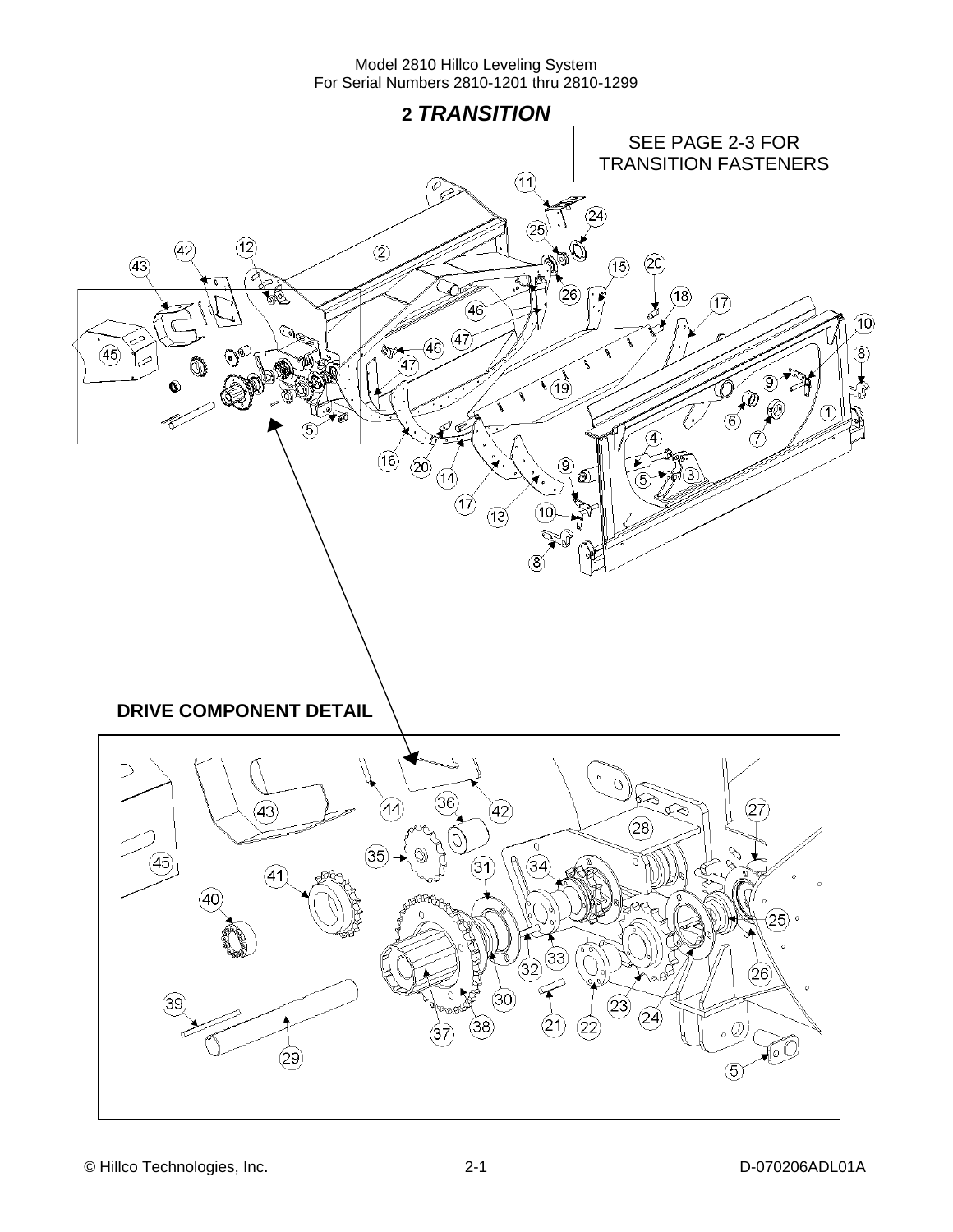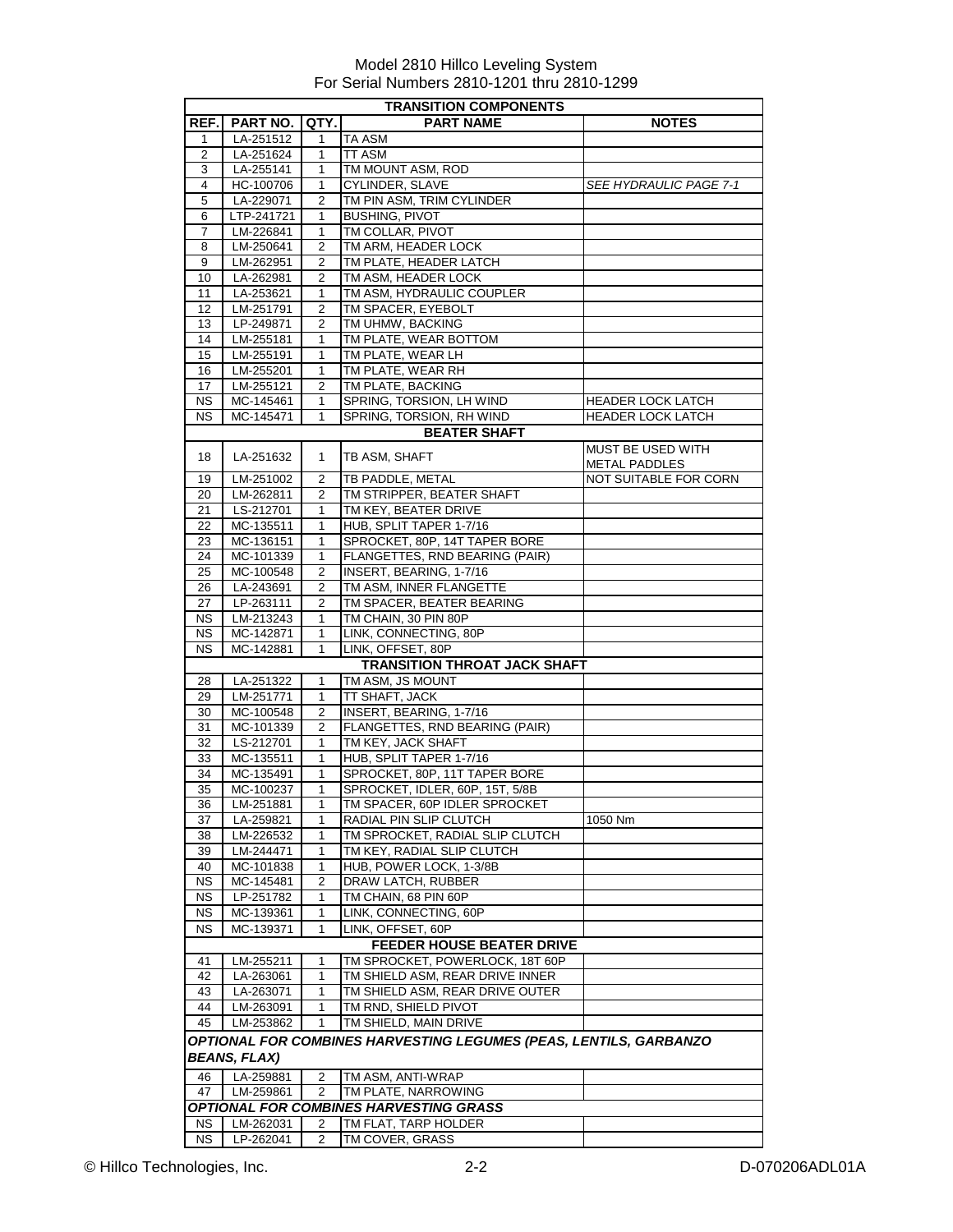|                | <b>TRANSITION COMPONENTS</b> |                |                                                                   |                        |
|----------------|------------------------------|----------------|-------------------------------------------------------------------|------------------------|
| REF.           | PART NO.                     | QTY.           | <b>PART NAME</b>                                                  | <b>NOTES</b>           |
| 1              | LA-251512                    | 1              | <b>TA ASM</b>                                                     |                        |
| $\overline{2}$ | LA-251624                    | 1              | TT ASM                                                            |                        |
| 3              | LA-255141                    | 1              | TM MOUNT ASM, ROD                                                 |                        |
| 4              | HC-100706                    | 1              | CYLINDER, SLAVE                                                   | SEE HYDRAULIC PAGE 7-1 |
| 5              | LA-229071                    | 2              | TM PIN ASM, TRIM CYLINDER                                         |                        |
| 6              | LTP-241721                   | 1              | <b>BUSHING, PIVOT</b>                                             |                        |
| $\overline{7}$ | LM-226841                    | 1              | TM COLLAR, PIVOT                                                  |                        |
| 8              | LM-250641                    | $\overline{2}$ | TM ARM, HEADER LOCK                                               |                        |
| 9              | LM-262951                    | 2              | TM PLATE, HEADER LATCH                                            |                        |
| 10             | LA-262981                    | 2              | TM ASM, HEADER LOCK                                               |                        |
| 11<br>12       | LA-253621<br>LM-251791       | 1<br>2         | TM ASM, HYDRAULIC COUPLER<br>TM SPACER, EYEBOLT                   |                        |
| 13             | LP-249871                    | 2              | TM UHMW, BACKING                                                  |                        |
| 14             | LM-255181                    | $\mathbf{1}$   | TM PLATE, WEAR BOTTOM                                             |                        |
| 15             | LM-255191                    | 1              | TM PLATE, WEAR LH                                                 |                        |
| 16             | LM-255201                    | 1              | TM PLATE, WEAR RH                                                 |                        |
| 17             | LM-255121                    | $\overline{2}$ | TM PLATE, BACKING                                                 |                        |
| <b>NS</b>      | MC-145461                    | $\mathbf 1$    | SPRING, TORSION, LH WIND                                          | HEADER LOCK LATCH      |
| ΝS             | MC-145471                    | 1              | SPRING, TORSION, RH WIND                                          | HEADER LOCK LATCH      |
|                |                              |                | <b>BEATER SHAFT</b>                                               |                        |
|                |                              |                |                                                                   | MUST BE USED WITH      |
| 18             | LA-251632                    | 1              | TB ASM, SHAFT                                                     | METAL PADDLES          |
| 19             | LM-251002                    | $\overline{2}$ | TB PADDLE, METAL                                                  | NOT SUITABLE FOR CORN  |
| 20             | LM-262811                    | $\overline{2}$ | TM STRIPPER, BEATER SHAFT                                         |                        |
| 21             | LS-212701                    | 1              | TM KEY, BEATER DRIVE                                              |                        |
| 22             | MC-135511                    | 1              | HUB, SPLIT TAPER 1-7/16                                           |                        |
| 23             | MC-136151                    | 1              | SPROCKET, 80P, 14T TAPER BORE                                     |                        |
| 24             | MC-101339                    | 1              | FLANGETTES, RND BEARING (PAIR)                                    |                        |
| 25             | MC-100548                    | 2              | INSERT, BEARING, 1-7/16                                           |                        |
| 26             | LA-243691                    | 2              | TM ASM, INNER FLANGETTE                                           |                        |
| 27             | LP-263111                    | 2              | TM SPACER, BEATER BEARING                                         |                        |
| NS.            | LM-213243                    | $\mathbf{1}$   | TM CHAIN, 30 PIN 80P                                              |                        |
| NS.            | MC-142871                    | 1              | LINK, CONNECTING, 80P                                             |                        |
| <b>NS</b>      | MC-142881                    | 1              | LINK, OFFSET, 80P                                                 |                        |
|                |                              |                | <b>TRANSITION THROAT JACK SHAFT</b>                               |                        |
| 28             | LA-251322                    | 1              | TM ASM, JS MOUNT                                                  |                        |
| 29<br>30       | LM-251771                    | 1<br>2         | <b>TT SHAFT, JACK</b><br>INSERT, BEARING, 1-7/16                  |                        |
| 31             | MC-100548<br>MC-101339       | $\overline{2}$ | FLANGETTES, RND BEARING (PAIR)                                    |                        |
| 32             | LS-212701                    | 1              | TM KEY, JACK SHAFT                                                |                        |
| 33             | MC-135511                    | 1              | HUB, SPLIT TAPER 1-7/16                                           |                        |
| 34             | MC-135491                    | 1              | SPROCKET, 80P, 11T TAPER BORE                                     |                        |
| 35             | MC-100237                    | $\mathbf{1}$   | SPROCKET, IDLER, 60P, 15T, 5/8B                                   |                        |
| 36             | LM-251881                    | 1              | TM SPACER, 60P IDLER SPROCKET                                     |                        |
| 37             | LA-259821                    | 1              | RADIAL PIN SLIP CLUTCH                                            | 1050 Nm                |
| 38             | LM-226532                    | 1              | TM SPROCKET, RADIAL SLIP CLUTCH                                   |                        |
| 39             | LM-244471                    | 1              | TM KEY, RADIAL SLIP CLUTCH                                        |                        |
| 40             | MC-101838                    | 1              | HUB, POWER LOCK, 1-3/8B                                           |                        |
| NS.            | MC-145481                    | 2              | DRAW LATCH, RUBBER                                                |                        |
| <b>NS</b>      | LP-251782                    | 1              | TM CHAIN, 68 PIN 60P                                              |                        |
| NS.            | MC-139361                    | 1              | LINK, CONNECTING, 60P                                             |                        |
| NS.            | MC-139371                    | 1              | LINK, OFFSET, 60P                                                 |                        |
|                |                              |                | <b>FEEDER HOUSE BEATER DRIVE</b>                                  |                        |
| 41             | LM-255211                    | 1              | TM SPROCKET, POWERLOCK, 18T 60P                                   |                        |
| 42             | LA-263061                    | 1              | TM SHIELD ASM, REAR DRIVE INNER                                   |                        |
| 43             | LA-263071                    | 1              | TM SHIELD ASM, REAR DRIVE OUTER                                   |                        |
| 44             | LM-263091                    | 1              | TM RND, SHIELD PIVOT                                              |                        |
| 45             | LM-253862                    | 1              | TM SHIELD, MAIN DRIVE                                             |                        |
|                | <b>BEANS, FLAX)</b>          |                | OPTIONAL FOR COMBINES HARVESTING LEGUMES (PEAS, LENTILS, GARBANZO |                        |
| 46             | LA-259881                    | 2              | TM ASM, ANTI-WRAP                                                 |                        |
| 47             | LM-259861                    | $\overline{2}$ | TM PLATE, NARROWING                                               |                        |
|                |                              |                | OPTIONAL FOR COMBINES HARVESTING GRASS                            |                        |
| NS.            | LM-262031                    | 2              | TM FLAT, TARP HOLDER                                              |                        |
| <b>NS</b>      | LP-262041                    | 2              | TM COVER, GRASS                                                   |                        |
|                |                              |                |                                                                   |                        |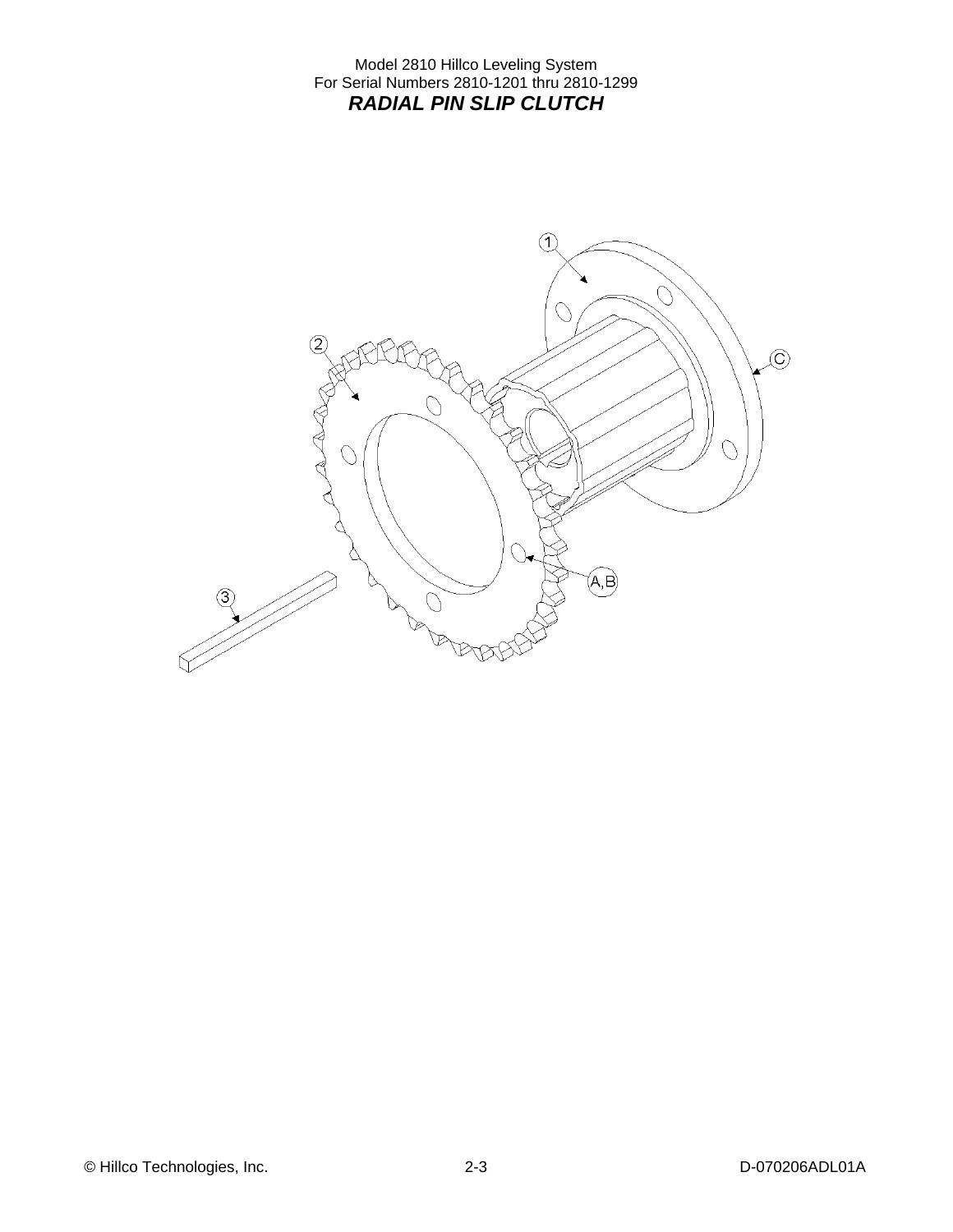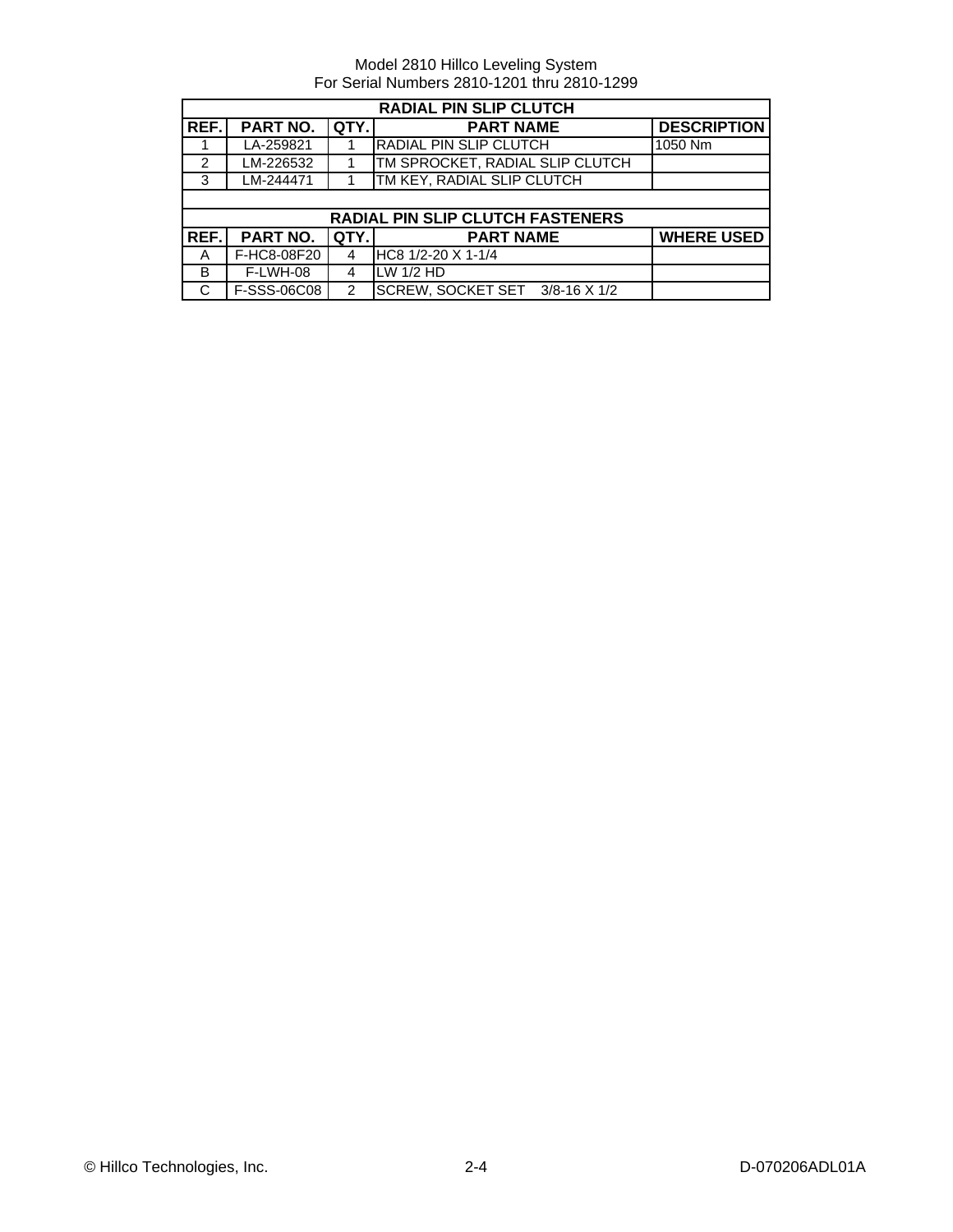| <b>RADIAL PIN SLIP CLUTCH</b> |                 |               |                                         |                    |  |
|-------------------------------|-----------------|---------------|-----------------------------------------|--------------------|--|
| REF.I                         | PART NO.        | QTY.          | <b>PART NAME</b>                        | <b>DESCRIPTION</b> |  |
|                               | LA-259821       |               | <b>RADIAL PIN SLIP CLUTCH</b>           | 1050 Nm            |  |
| 2                             | LM-226532       |               | TM SPROCKET, RADIAL SLIP CLUTCH         |                    |  |
| 3                             | LM-244471       |               | TM KEY, RADIAL SLIP CLUTCH              |                    |  |
|                               |                 |               |                                         |                    |  |
|                               |                 |               | <b>RADIAL PIN SLIP CLUTCH FASTENERS</b> |                    |  |
| REF.I                         | <b>PART NO.</b> | <b>QTY.</b>   | <b>PART NAME</b>                        | <b>WHERE USED</b>  |  |
| A                             | F-HC8-08F20     | 4             | HC8 1/2-20 X 1-1/4                      |                    |  |
| B                             | F-LWH-08        | 4             | $LW$ 1/2 HD                             |                    |  |
| C                             | F-SSS-06C08     | $\mathcal{P}$ | SCREW, SOCKET SET 3/8-16 X 1/2          |                    |  |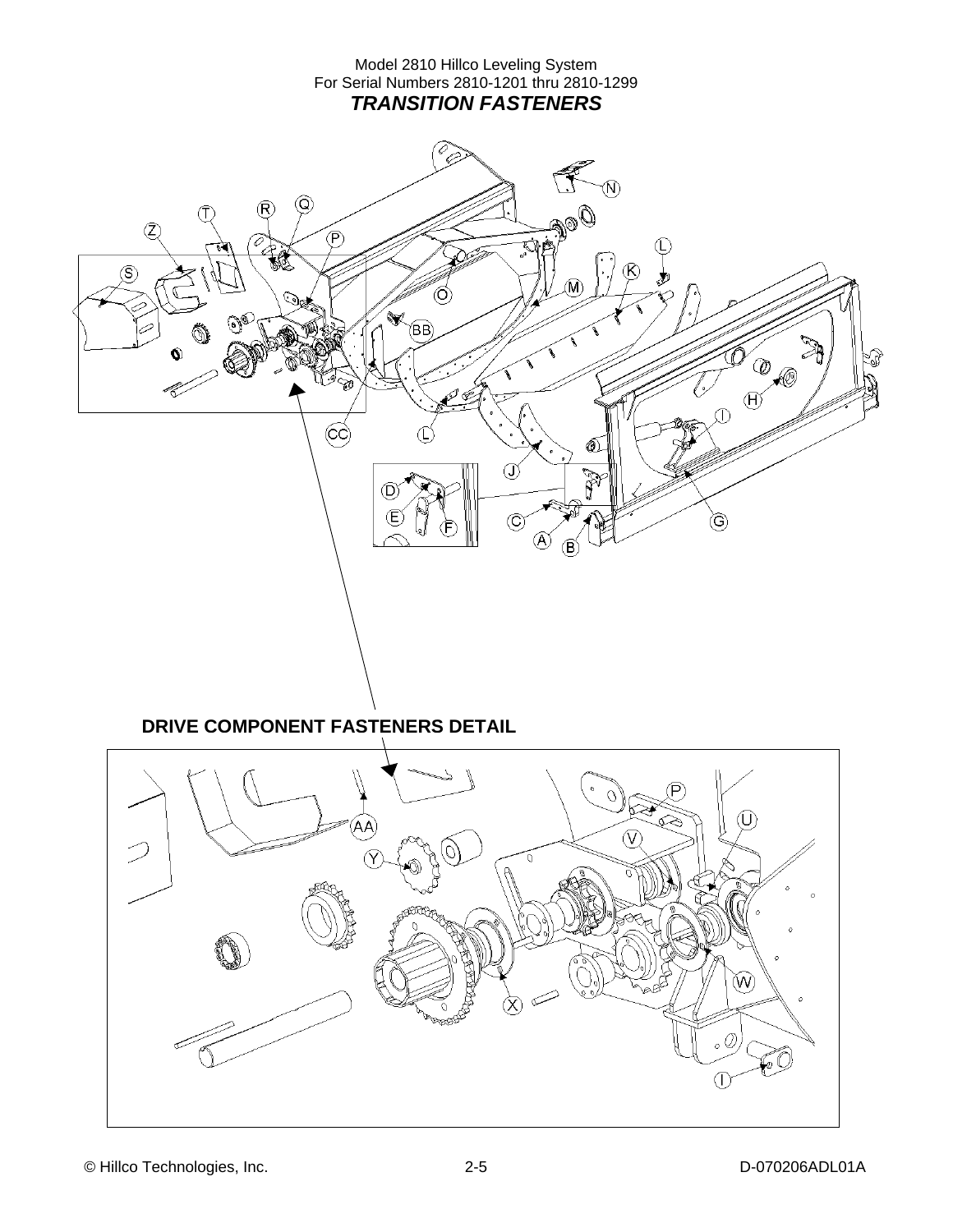#### Model 2810 Hillco Leveling System For Serial Numbers 2810-1201 thru 2810-1299 *TRANSITION FASTENERS*

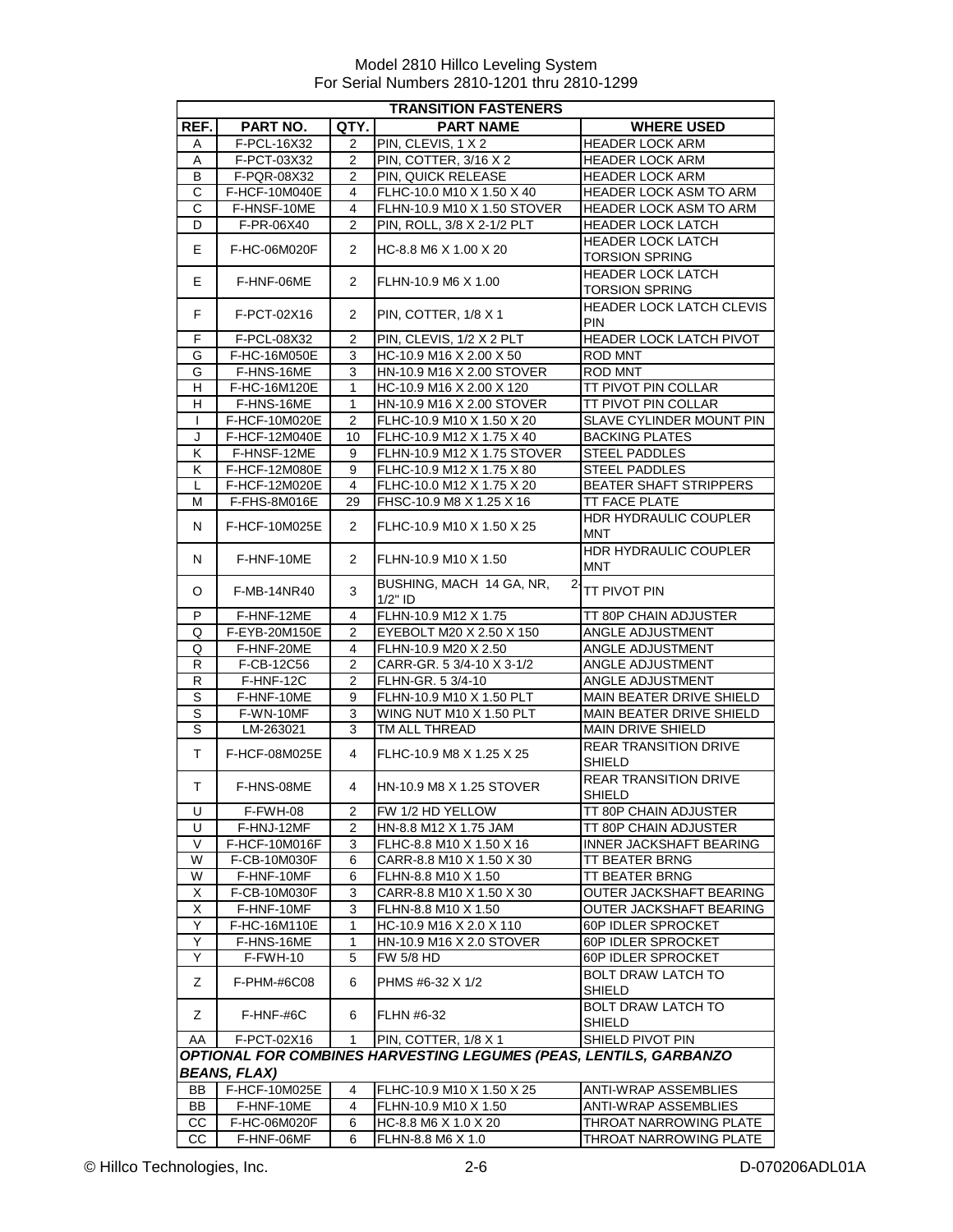| <b>TRANSITION FASTENERS</b> |                    |                |                                                                   |                                                   |  |
|-----------------------------|--------------------|----------------|-------------------------------------------------------------------|---------------------------------------------------|--|
| REF.                        | PART NO.           | QTY.           | <b>PART NAME</b>                                                  | <b>WHERE USED</b>                                 |  |
| A                           | F-PCL-16X32        | 2              | PIN, CLEVIS, 1 X 2                                                | <b>HEADER LOCK ARM</b>                            |  |
| A                           | F-PCT-03X32        | 2              | PIN, COTTER, 3/16 X 2                                             | <b>HEADER LOCK ARM</b>                            |  |
| B                           | F-PQR-08X32        | 2              | PIN, QUICK RELEASE                                                | <b>HEADER LOCK ARM</b>                            |  |
| C                           | F-HCF-10M040E      | 4              | FLHC-10.0 M10 X 1.50 X 40                                         | <b>HEADER LOCK ASM TO ARM</b>                     |  |
| C                           | F-HNSF-10ME        | 4              | FLHN-10.9 M10 X 1.50 STOVER                                       | <b>HEADER LOCK ASM TO ARM</b>                     |  |
| D                           | F-PR-06X40         | $\overline{2}$ | PIN, ROLL, 3/8 X 2-1/2 PLT                                        | <b>HEADER LOCK LATCH</b>                          |  |
| E.                          | F-HC-06M020F       | 2              | HC-8.8 M6 X 1.00 X 20                                             | <b>HEADER LOCK LATCH</b>                          |  |
|                             |                    |                |                                                                   | <b>TORSION SPRING</b>                             |  |
| E.                          | F-HNF-06ME         | 2              | FLHN-10.9 M6 X 1.00                                               | <b>HEADER LOCK LATCH</b><br><b>TORSION SPRING</b> |  |
| F.                          | F-PCT-02X16        | 2              | PIN, COTTER, 1/8 X 1                                              | <b>HEADER LOCK LATCH CLEVIS</b><br><b>PIN</b>     |  |
| F                           | F-PCL-08X32        | 2              | PIN, CLEVIS, 1/2 X 2 PLT                                          | HEADER LOCK LATCH PIVOT                           |  |
| G                           | F-HC-16M050E       | 3              | HC-10.9 M16 X 2.00 X 50                                           | <b>ROD MNT</b>                                    |  |
| G                           | F-HNS-16ME         | 3              | HN-10.9 M16 X 2.00 STOVER                                         | ROD MNT                                           |  |
| H                           | F-HC-16M120E       | 1              | HC-10.9 M16 X 2.00 X 120                                          | TT PIVOT PIN COLLAR                               |  |
| H                           | F-HNS-16ME         | 1              | HN-10.9 M16 X 2.00 STOVER                                         | TT PIVOT PIN COLLAR                               |  |
| $\mathbf{I}$                | F-HCF-10M020E      | 2              | FLHC-10.9 M10 X 1.50 X 20                                         | SLAVE CYLINDER MOUNT PIN                          |  |
| J                           | F-HCF-12M040E      | 10             | FLHC-10.9 M12 X 1.75 X 40                                         | <b>BACKING PLATES</b>                             |  |
| ĸ                           | F-HNSF-12ME        | 9              | FLHN-10.9 M12 X 1.75 STOVER                                       | <b>STEEL PADDLES</b>                              |  |
| K                           | F-HCF-12M080E      | 9              | FLHC-10.9 M12 X 1.75 X 80                                         | <b>STEEL PADDLES</b>                              |  |
| L                           | F-HCF-12M020E      | 4              | FLHC-10.0 M12 X 1.75 X 20                                         | <b>BEATER SHAFT STRIPPERS</b>                     |  |
| М                           | F-FHS-8M016E       | 29             | FHSC-10.9 M8 X 1.25 X 16                                          | TT FACE PLATE                                     |  |
| N                           | F-HCF-10M025E      | $\overline{2}$ | FLHC-10.9 M10 X 1.50 X 25                                         | HDR HYDRAULIC COUPLER<br><b>MNT</b>               |  |
| N                           | F-HNF-10ME         | 2              | FLHN-10.9 M10 X 1.50                                              | HDR HYDRAULIC COUPLER<br><b>MNT</b>               |  |
| O                           | <b>F-MB-14NR40</b> | 3              | BUSHING, MACH 14 GA, NR,<br>$\overline{2}$<br>$1/2"$ ID           | TT PIVOT PIN                                      |  |
| P                           | F-HNF-12ME         | 4              | FLHN-10.9 M12 X 1.75                                              | TT 80P CHAIN ADJUSTER                             |  |
| Q                           | F-EYB-20M150E      | 2              | EYEBOLT M20 X 2.50 X 150                                          | ANGLE ADJUSTMENT                                  |  |
| Q                           | F-HNF-20ME         | 4              | FLHN-10.9 M20 X 2.50                                              | ANGLE ADJUSTMENT                                  |  |
| $\mathsf{R}$                | F-CB-12C56         | $\overline{2}$ | CARR-GR. 5 3/4-10 X 3-1/2                                         | ANGLE ADJUSTMENT                                  |  |
| R                           | F-HNF-12C          | $\overline{2}$ | FLHN-GR. 5 3/4-10                                                 | ANGLE ADJUSTMENT                                  |  |
| S                           | F-HNF-10ME         | 9              | FLHN-10.9 M10 X 1.50 PLT                                          | MAIN BEATER DRIVE SHIELD                          |  |
| $\overline{s}$              | F-WN-10MF          | 3              | WING NUT M10 X 1.50 PLT                                           | MAIN BEATER DRIVE SHIELD                          |  |
| $\mathbb S$                 | LM-263021          | 3              | TM ALL THREAD                                                     | MAIN DRIVE SHIELD                                 |  |
| т                           | F-HCF-08M025E      | 4              | FLHC-10.9 M8 X 1.25 X 25                                          | <b>REAR TRANSITION DRIVE</b><br><b>SHIELD</b>     |  |
| Τ                           | F-HNS-08ME         | 4              | HN-10.9 M8 X 1.25 STOVER                                          | <b>REAR TRANSITION DRIVE</b><br>SHIFI D           |  |
| U                           | F-FWH-08           | 2              | FW 1/2 HD YELLOW                                                  | TT 80P CHAIN ADJUSTER                             |  |
| U                           | F-HNJ-12MF         | 2              | HN-8.8 M12 X 1.75 JAM                                             | TT 80P CHAIN ADJUSTER                             |  |
| V                           | F-HCF-10M016F      | 3              | FLHC-8.8 M10 X 1.50 X 16                                          | <b>INNER JACKSHAFT BEARING</b>                    |  |
| W                           | F-CB-10M030F       | 6              | CARR-8.8 M10 X 1.50 X 30                                          | TT BEATER BRNG                                    |  |
| W                           | F-HNF-10MF         | 6              | FLHN-8.8 M10 X 1.50                                               | <b>TT BEATER BRNG</b>                             |  |
| X                           | F-CB-10M030F       | 3              | CARR-8.8 M10 X 1.50 X 30                                          | OUTER JACKSHAFT BEARING                           |  |
| X                           | F-HNF-10MF         | 3              | FLHN-8.8 M10 X 1.50                                               | OUTER JACKSHAFT BEARING                           |  |
| Y                           | F-HC-16M110E       | 1              | HC-10.9 M16 X 2.0 X 110                                           | 60P IDLER SPROCKET                                |  |
| Y                           | F-HNS-16ME         | 1              | HN-10.9 M16 X 2.0 STOVER                                          | 60P IDLER SPROCKET                                |  |
| Y                           | F-FWH-10           | 5              | FW 5/8 HD                                                         | 60P IDLER SPROCKET                                |  |
|                             |                    |                |                                                                   | <b>BOLT DRAW LATCH TO</b>                         |  |
| Ζ                           | F-PHM-#6C08        | 6              | PHMS #6-32 X 1/2                                                  | <b>SHIELD</b>                                     |  |
| Z                           | F-HNF-#6C          | 6              | FLHN #6-32                                                        | <b>BOLT DRAW LATCH TO</b><br><b>SHIELD</b>        |  |
| AA                          | F-PCT-02X16        | 1              | PIN, COTTER, 1/8 X 1                                              | SHIELD PIVOT PIN                                  |  |
|                             |                    |                | OPTIONAL FOR COMBINES HARVESTING LEGUMES (PEAS, LENTILS, GARBANZO |                                                   |  |
|                             | BEANS, FLAX)       |                |                                                                   |                                                   |  |
| BB                          | F-HCF-10M025E      | 4              | FLHC-10.9 M10 X 1.50 X 25                                         | ANTI-WRAP ASSEMBLIES                              |  |
| BB                          | F-HNF-10ME         | 4              | FLHN-10.9 M10 X 1.50                                              | ANTI-WRAP ASSEMBLIES                              |  |
| CC                          | F-HC-06M020F       | 6              | HC-8.8 M6 X 1.0 X 20                                              | THROAT NARROWING PLATE                            |  |
| CС                          | F-HNF-06MF         | 6              | FLHN-8.8 M6 X 1.0                                                 | THROAT NARROWING PLATE                            |  |
|                             |                    |                |                                                                   |                                                   |  |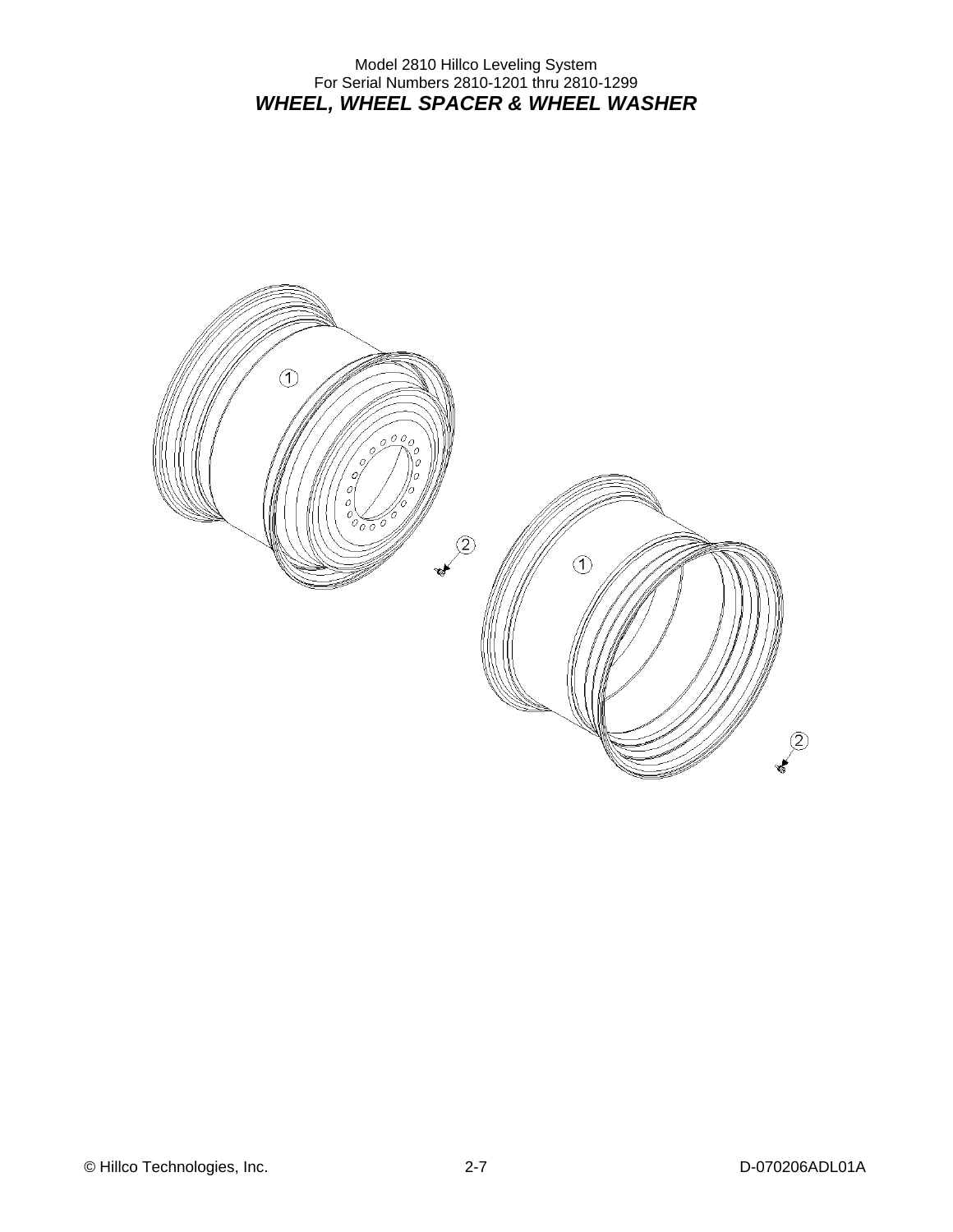Model 2810 Hillco Leveling System For Serial Numbers 2810-1201 thru 2810-1299 *WHEEL, WHEEL SPACER & WHEEL WASHER* 

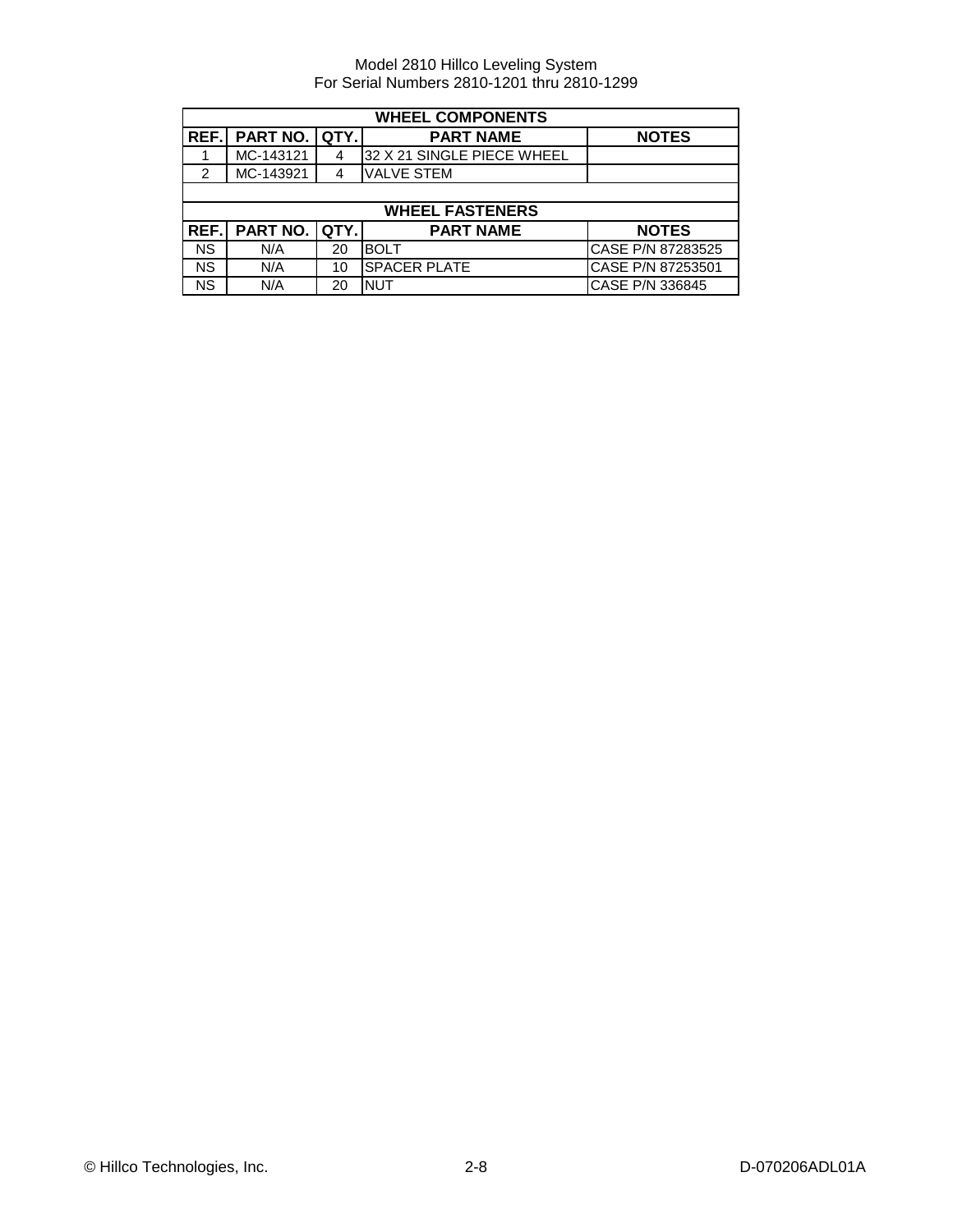| <b>WHEEL COMPONENTS</b> |                 |      |                            |                   |
|-------------------------|-----------------|------|----------------------------|-------------------|
| REF.I                   | <b>PART NO.</b> | QTY. | <b>PART NAME</b>           | <b>NOTES</b>      |
|                         | MC-143121       |      | 32 X 21 SINGLE PIECE WHEEL |                   |
| 2                       | MC-143921       |      | <b>VALVE STEM</b>          |                   |
|                         |                 |      |                            |                   |
|                         |                 |      | <b>WHEEL FASTENERS</b>     |                   |
| REF.I                   | <b>PART NO.</b> | QTY. | <b>PART NAME</b>           | <b>NOTES</b>      |
| <b>NS</b>               | N/A             | 20   | <b>BOLT</b>                | CASE P/N 87283525 |
| <b>NS</b>               |                 | 10   | <b>SPACER PLATE</b>        | CASE P/N 87253501 |
|                         | N/A             |      |                            |                   |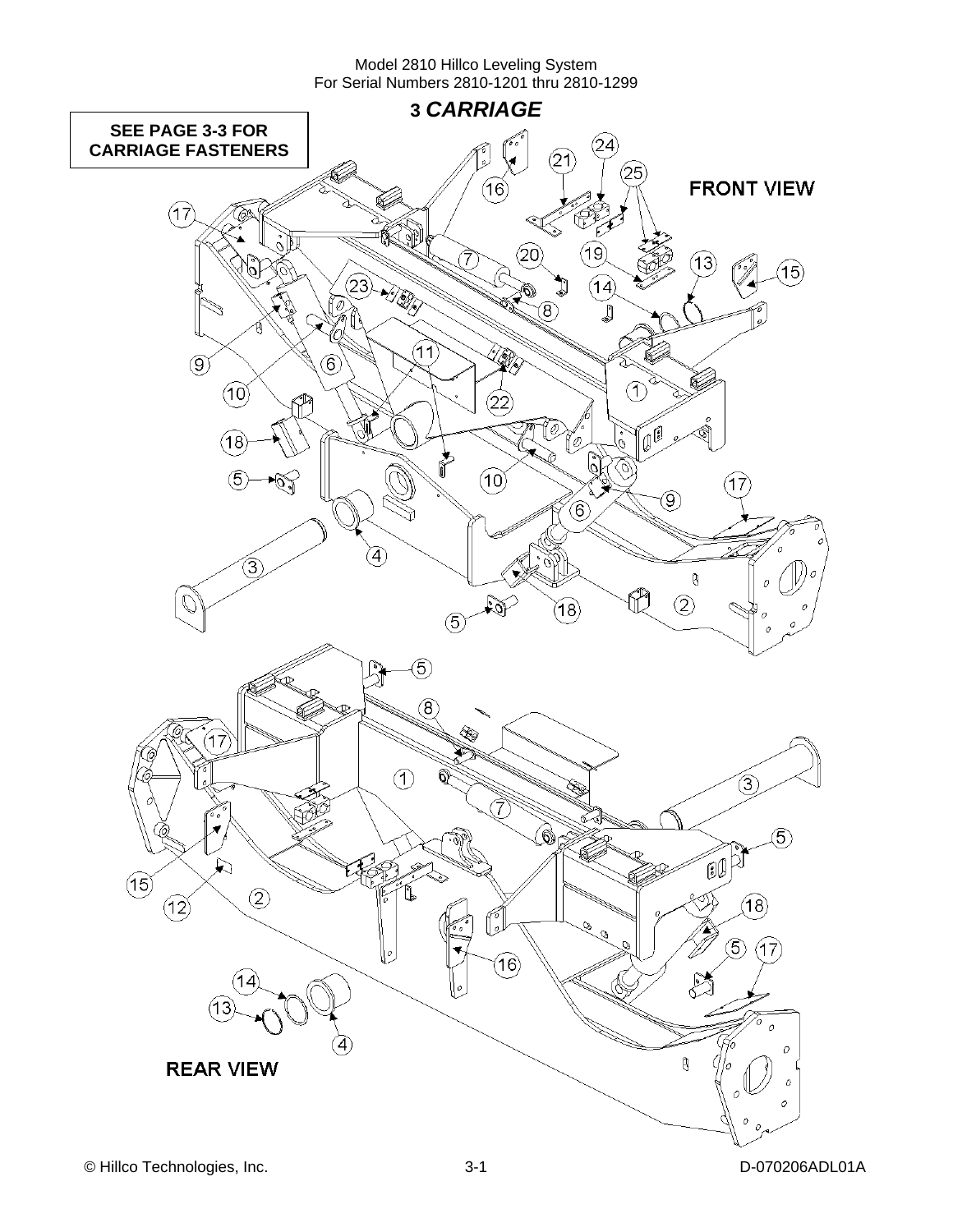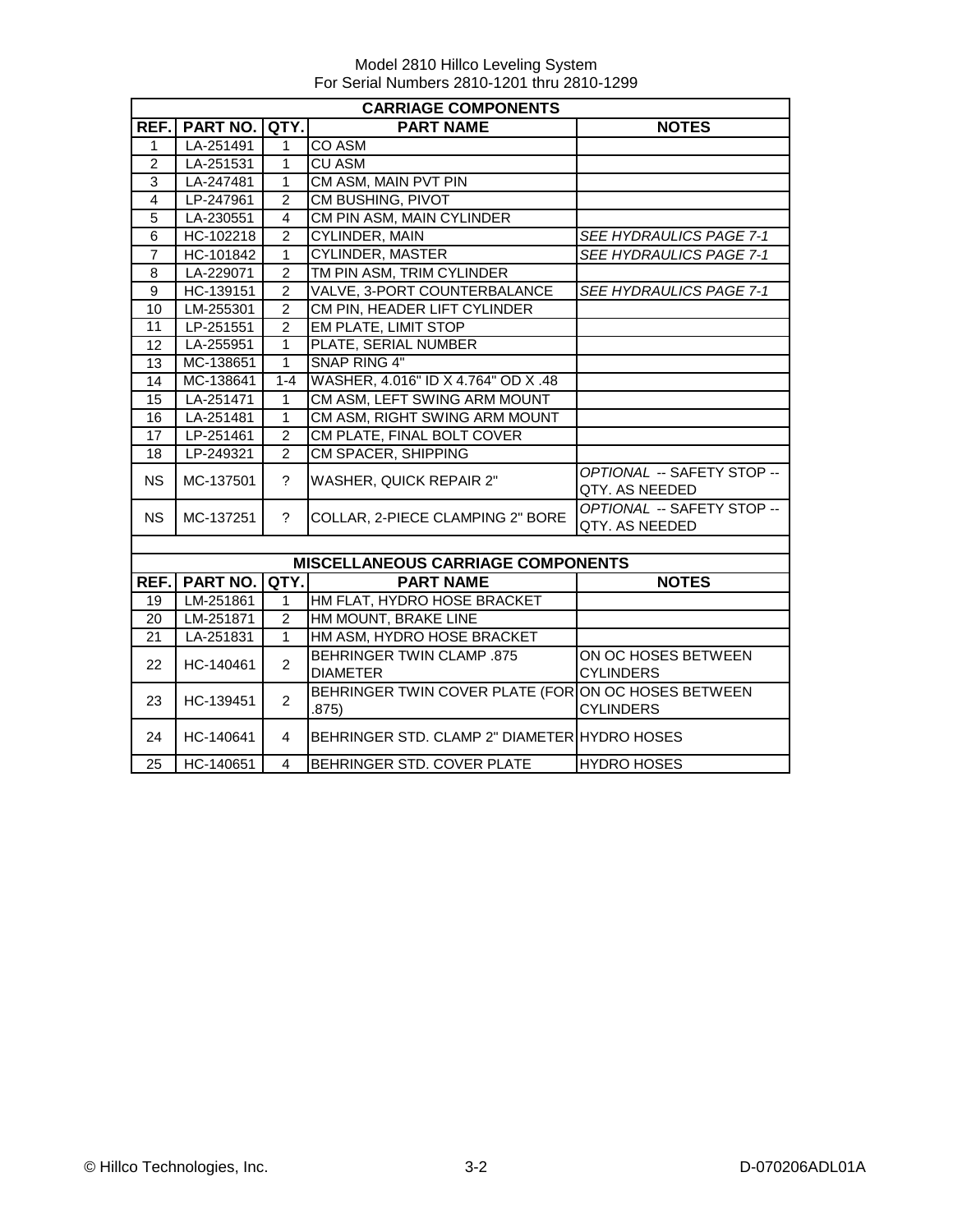|                | <b>CARRIAGE COMPONENTS</b> |                |                                                             |                                              |  |  |  |  |
|----------------|----------------------------|----------------|-------------------------------------------------------------|----------------------------------------------|--|--|--|--|
| REF.           | <b>PART NO. QTY.</b>       |                | <b>PART NAME</b>                                            | <b>NOTES</b>                                 |  |  |  |  |
| 1              | LA-251491                  | $\mathbf{1}$   | <b>CO ASM</b>                                               |                                              |  |  |  |  |
| $\overline{2}$ | LA-251531                  | $\mathbf{1}$   | <b>CU ASM</b>                                               |                                              |  |  |  |  |
| 3              | LA-247481                  | $\mathbf{1}$   | CM ASM, MAIN PVT PIN                                        |                                              |  |  |  |  |
| $\overline{4}$ | LP-247961                  | $\overline{2}$ | CM BUSHING, PIVOT                                           |                                              |  |  |  |  |
| 5              | LA-230551                  | $\overline{4}$ | CM PIN ASM, MAIN CYLINDER                                   |                                              |  |  |  |  |
| 6              | HC-102218                  | $\overline{2}$ | <b>CYLINDER, MAIN</b>                                       | <b>SEE HYDRAULICS PAGE 7-1</b>               |  |  |  |  |
| $\overline{7}$ | HC-101842                  | $\overline{1}$ | <b>CYLINDER, MASTER</b>                                     | SEE HYDRAULICS PAGE 7-1                      |  |  |  |  |
| 8              | LA-229071                  | $\overline{2}$ | TM PIN ASM, TRIM CYLINDER                                   |                                              |  |  |  |  |
| 9              | HC-139151                  | $\overline{2}$ | VALVE, 3-PORT COUNTERBALANCE                                | SEE HYDRAULICS PAGE 7-1                      |  |  |  |  |
| 10             | LM-255301                  | $\overline{2}$ | CM PIN, HEADER LIFT CYLINDER                                |                                              |  |  |  |  |
| 11             | LP-251551                  | $\overline{2}$ | <b>EM PLATE, LIMIT STOP</b>                                 |                                              |  |  |  |  |
| 12             | LA-255951                  | $\mathbf{1}$   | PLATE, SERIAL NUMBER                                        |                                              |  |  |  |  |
| 13             | MC-138651                  | $\mathbf{1}$   | <b>SNAP RING 4"</b>                                         |                                              |  |  |  |  |
| 14             | MC-138641                  | $1 - 4$        | WASHER, 4.016" ID X 4.764" OD X .48                         |                                              |  |  |  |  |
| 15             | LA-251471                  | $\mathbf{1}$   | CM ASM, LEFT SWING ARM MOUNT                                |                                              |  |  |  |  |
| 16             | LA-251481                  | $\overline{1}$ | CM ASM, RIGHT SWING ARM MOUNT                               |                                              |  |  |  |  |
| 17             | LP-251461                  | $\overline{2}$ | CM PLATE, FINAL BOLT COVER                                  |                                              |  |  |  |  |
| 18             | LP-249321                  | $\overline{2}$ | CM SPACER, SHIPPING                                         |                                              |  |  |  |  |
| <b>NS</b>      | MC-137501                  | $\overline{?}$ | WASHER, QUICK REPAIR 2"                                     | OPTIONAL -- SAFETY STOP --<br>QTY. AS NEEDED |  |  |  |  |
| <b>NS</b>      | MC-137251                  | $\tilde{?}$    | COLLAR, 2-PIECE CLAMPING 2" BORE                            | OPTIONAL -- SAFETY STOP --<br>QTY. AS NEEDED |  |  |  |  |
|                |                            |                |                                                             |                                              |  |  |  |  |
|                |                            |                | <b>MISCELLANEOUS CARRIAGE COMPONENTS</b>                    |                                              |  |  |  |  |
| REF.           | <b>PART NO.</b>            | QTY.           | <b>PART NAME</b>                                            | <b>NOTES</b>                                 |  |  |  |  |
| 19             | LM-251861                  | $\mathbf{1}$   | HM FLAT, HYDRO HOSE BRACKET                                 |                                              |  |  |  |  |
| 20             | LM-251871                  | $\overline{2}$ | HM MOUNT, BRAKE LINE                                        |                                              |  |  |  |  |
| 21             | LA-251831                  | $\mathbf{1}$   | HM ASM, HYDRO HOSE BRACKET                                  |                                              |  |  |  |  |
| 22             | HC-140461                  | $\overline{2}$ | <b>BEHRINGER TWIN CLAMP .875</b><br><b>DIAMETER</b>         | ON OC HOSES BETWEEN<br><b>CYLINDERS</b>      |  |  |  |  |
| 23             | HC-139451                  | $\overline{2}$ | BEHRINGER TWIN COVER PLATE (FORON OC HOSES BETWEEN<br>.875) | <b>CYLINDERS</b>                             |  |  |  |  |
| 24             | HC-140641                  | 4              | BEHRINGER STD. CLAMP 2" DIAMETER HYDRO HOSES                |                                              |  |  |  |  |
| 25             | HC-140651                  | $\overline{4}$ | BEHRINGER STD. COVER PLATE                                  | <b>HYDRO HOSES</b>                           |  |  |  |  |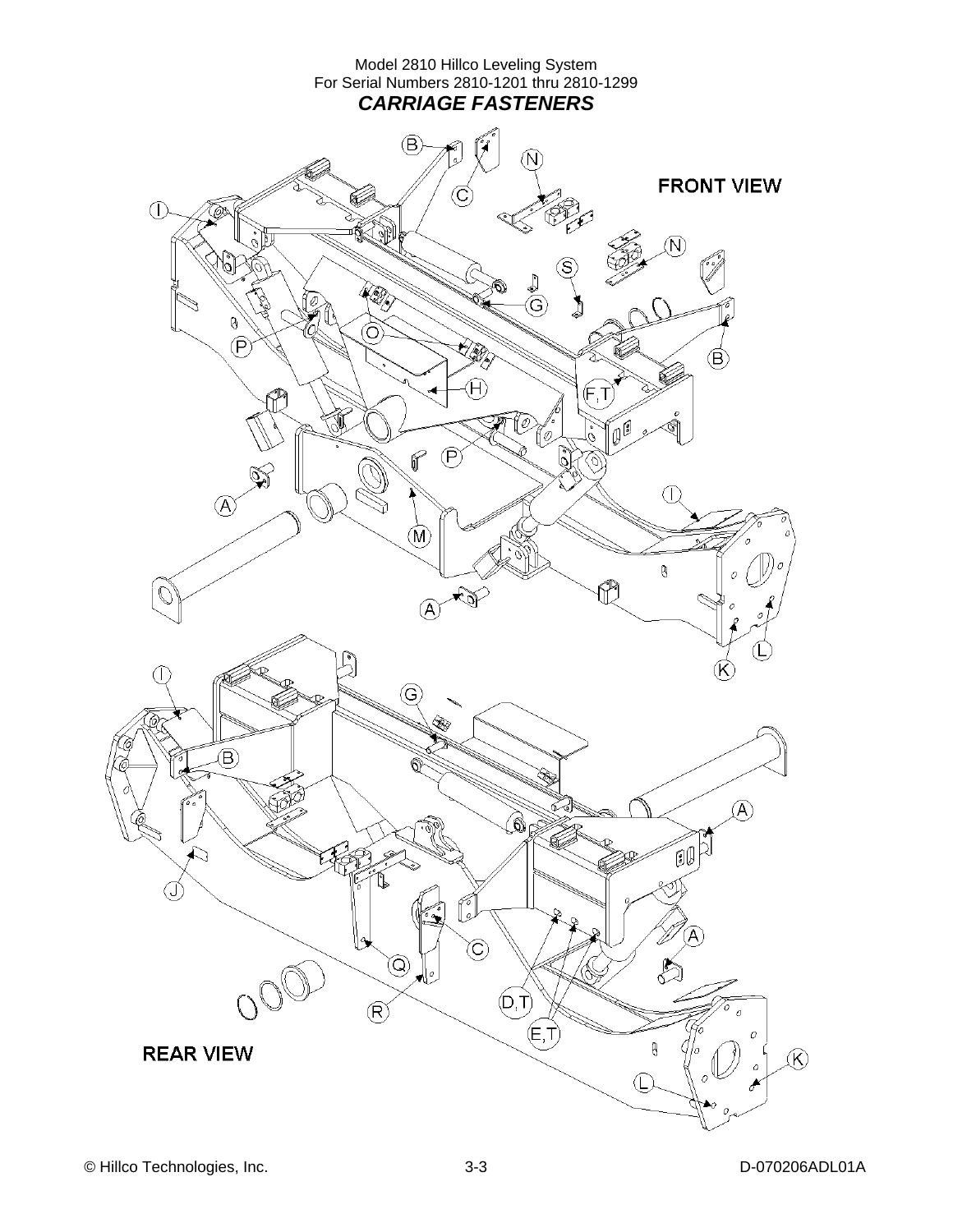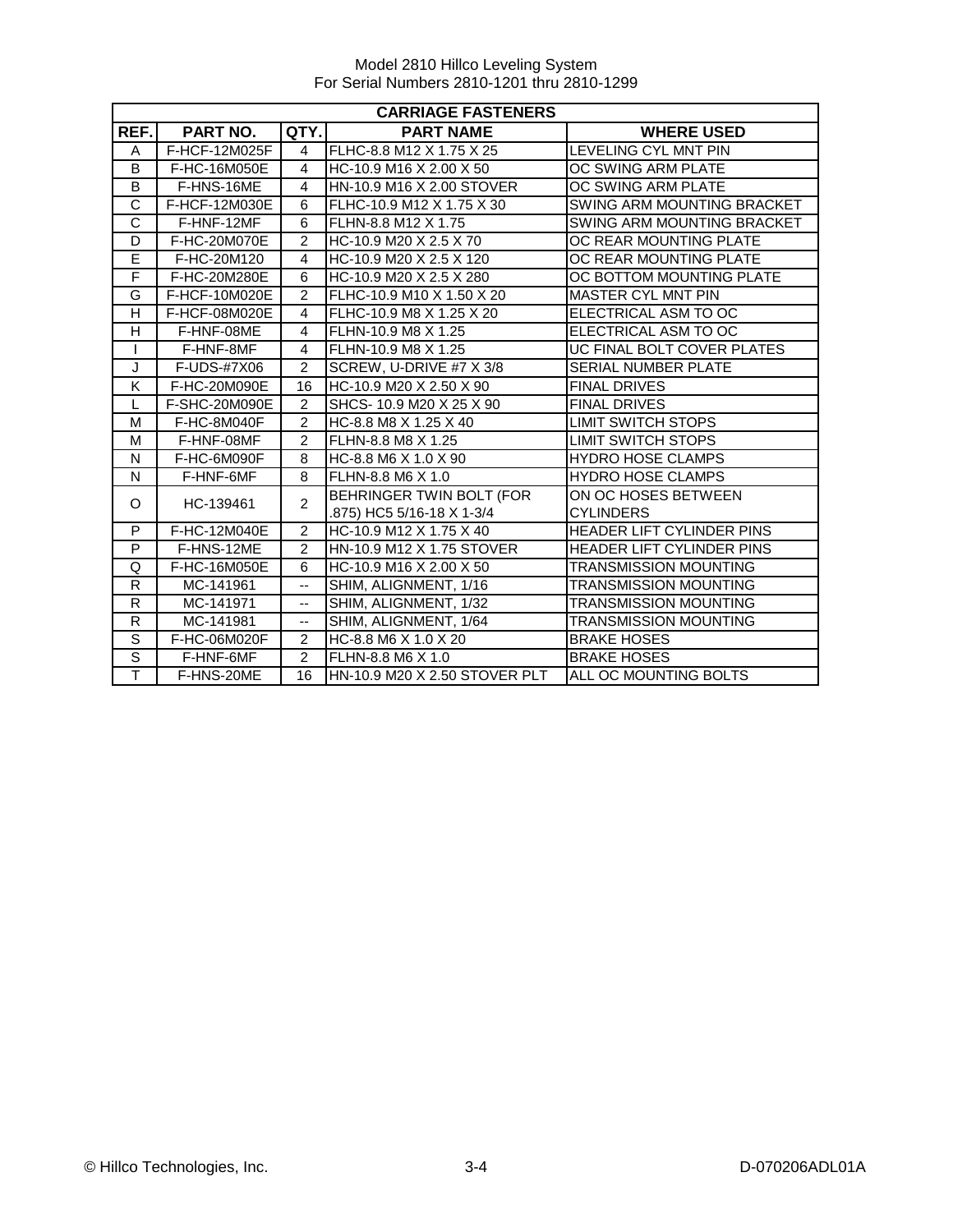|                       | <b>CARRIAGE FASTENERS</b> |                |                               |                                  |  |  |
|-----------------------|---------------------------|----------------|-------------------------------|----------------------------------|--|--|
| REF.                  | PART NO.                  | QTY.           | <b>PART NAME</b>              | <b>WHERE USED</b>                |  |  |
| A                     | F-HCF-12M025F             | $\overline{A}$ | FLHC-8.8 M12 X 1.75 X 25      | LEVELING CYL MNT PIN             |  |  |
| B                     | F-HC-16M050E              | $\overline{4}$ | HC-10.9 M16 X 2.00 X 50       | OC SWING ARM PLATE               |  |  |
| B                     | F-HNS-16ME                | 4              | HN-10.9 M16 X 2.00 STOVER     | OC SWING ARM PLATE               |  |  |
| $\overline{\text{c}}$ | F-HCF-12M030E             | 6              | FLHC-10.9 M12 X 1.75 X 30     | SWING ARM MOUNTING BRACKET       |  |  |
| $\overline{\text{c}}$ | F-HNF-12MF                | 6              | FLHN-8.8 M12 X 1.75           | SWING ARM MOUNTING BRACKET       |  |  |
| D                     | F-HC-20M070E              | $\overline{2}$ | HC-10.9 M20 X 2.5 X 70        | OC REAR MOUNTING PLATE           |  |  |
| E                     | F-HC-20M120               | 4              | HC-10.9 M20 X 2.5 X 120       | OC REAR MOUNTING PLATE           |  |  |
| F                     | F-HC-20M280E              | 6              | HC-10.9 M20 X 2.5 X 280       | OC BOTTOM MOUNTING PLATE         |  |  |
| G                     | F-HCF-10M020E             | $\mathfrak{p}$ | FLHC-10.9 M10 X 1.50 X 20     | <b>MASTER CYL MNT PIN</b>        |  |  |
| Н                     | F-HCF-08M020E             | $\overline{4}$ | FLHC-10.9 M8 X 1.25 X 20      | ELECTRICAL ASM TO OC             |  |  |
| H                     | F-HNF-08ME                | $\overline{4}$ | FLHN-10.9 M8 X 1.25           | ELECTRICAL ASM TO OC             |  |  |
|                       | F-HNF-8MF                 | $\overline{4}$ | FLHN-10.9 M8 X 1.25           | UC FINAL BOLT COVER PLATES       |  |  |
| J                     | F-UDS-#7X06               | $\overline{2}$ | SCREW, U-DRIVE #7 X 3/8       | SERIAL NUMBER PLATE              |  |  |
| K                     | F-HC-20M090E              | 16             | HC-10.9 M20 X 2.50 X 90       | <b>FINAL DRIVES</b>              |  |  |
| L                     | F-SHC-20M090E             | $\mathfrak{p}$ | SHCS-10.9 M20 X 25 X 90       | <b>FINAL DRIVES</b>              |  |  |
| M                     | F-HC-8M040F               | $\overline{2}$ | HC-8.8 M8 X 1.25 X 40         | <b>LIMIT SWITCH STOPS</b>        |  |  |
| M                     | F-HNF-08MF                | $\overline{2}$ | FLHN-8.8 M8 X 1.25            | <b>LIMIT SWITCH STOPS</b>        |  |  |
| N                     | F-HC-6M090F               | 8              | HC-8.8 M6 X 1.0 X 90          | <b>HYDRO HOSE CLAMPS</b>         |  |  |
| N                     | F-HNF-6MF                 | 8              | FLHN-8.8 M6 X 1.0             | <b>HYDRO HOSE CLAMPS</b>         |  |  |
| O                     | HC-139461                 | $\overline{2}$ | BEHRINGER TWIN BOLT (FOR      | ON OC HOSES BETWEEN              |  |  |
|                       |                           |                | .875) HC5 5/16-18 X 1-3/4     | <b>CYLINDERS</b>                 |  |  |
| P                     | F-HC-12M040E              | $\mathfrak{p}$ | HC-10.9 M12 X 1.75 X 40       | HEADER LIFT CYLINDER PINS        |  |  |
| P                     | F-HNS-12ME                | $\overline{2}$ | HN-10.9 M12 X 1.75 STOVER     | <b>HEADER LIFT CYLINDER PINS</b> |  |  |
| Q                     | F-HC-16M050E              | 6              | HC-10.9 M16 X 2.00 X 50       | <b>TRANSMISSION MOUNTING</b>     |  |  |
| $\mathsf{R}$          | MC-141961                 | 44             | SHIM, ALIGNMENT, 1/16         | <b>TRANSMISSION MOUNTING</b>     |  |  |
| $\mathsf R$           | MC-141971                 | --             | SHIM, ALIGNMENT, 1/32         | TRANSMISSION MOUNTING            |  |  |
| R                     | MC-141981                 | --             | SHIM, ALIGNMENT, 1/64         | TRANSMISSION MOUNTING            |  |  |
| $\overline{s}$        | F-HC-06M020F              | $\mathfrak{p}$ | HC-8.8 M6 X 1.0 X 20          | <b>BRAKE HOSES</b>               |  |  |
| $\overline{s}$        | F-HNF-6MF                 | $\overline{2}$ | FLHN-8.8 M6 X 1.0             | <b>BRAKE HOSES</b>               |  |  |
| Ŧ                     | F-HNS-20ME                | 16             | HN-10.9 M20 X 2.50 STOVER PLT | ALL OC MOUNTING BOLTS            |  |  |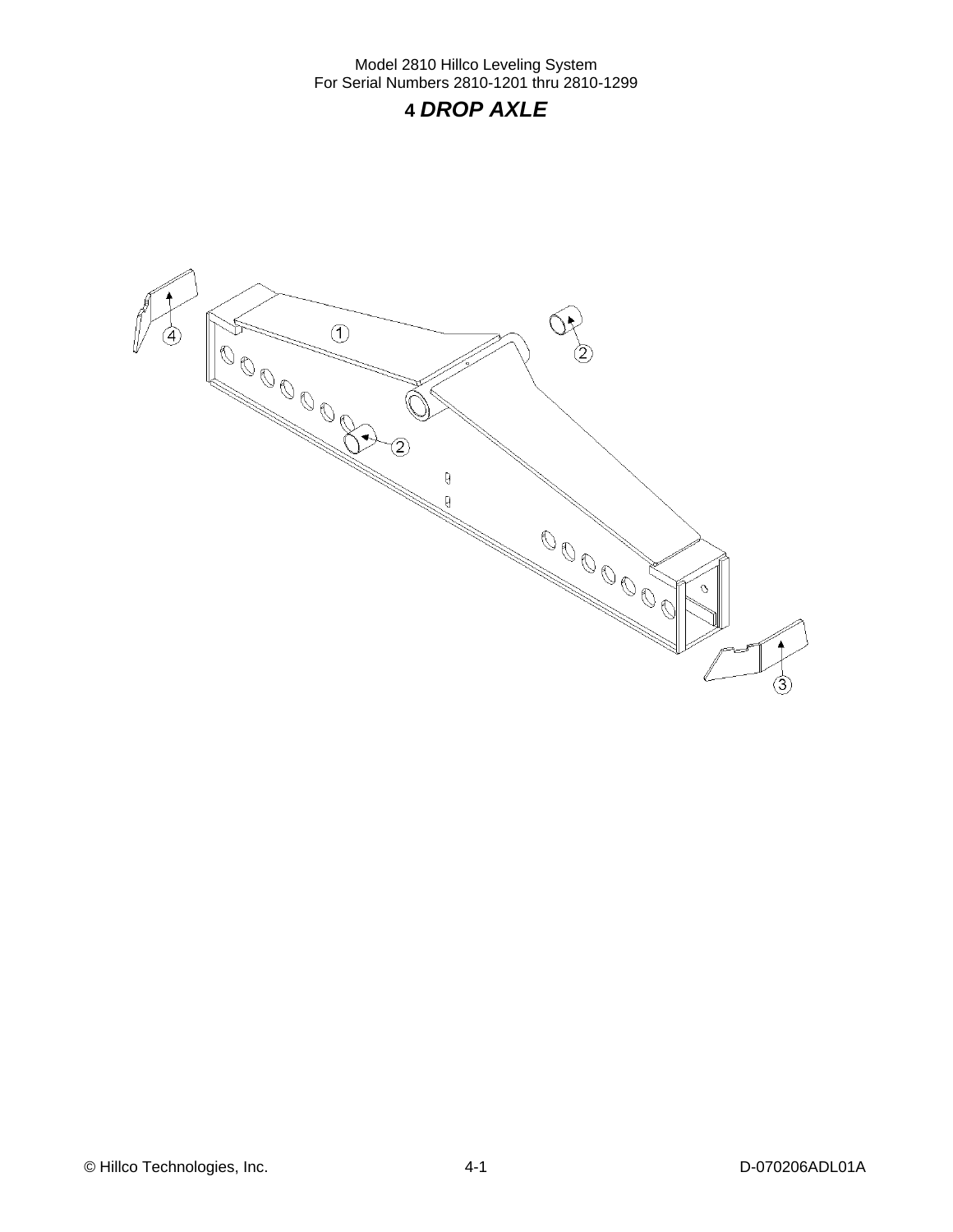## **4** *DROP AXLE*

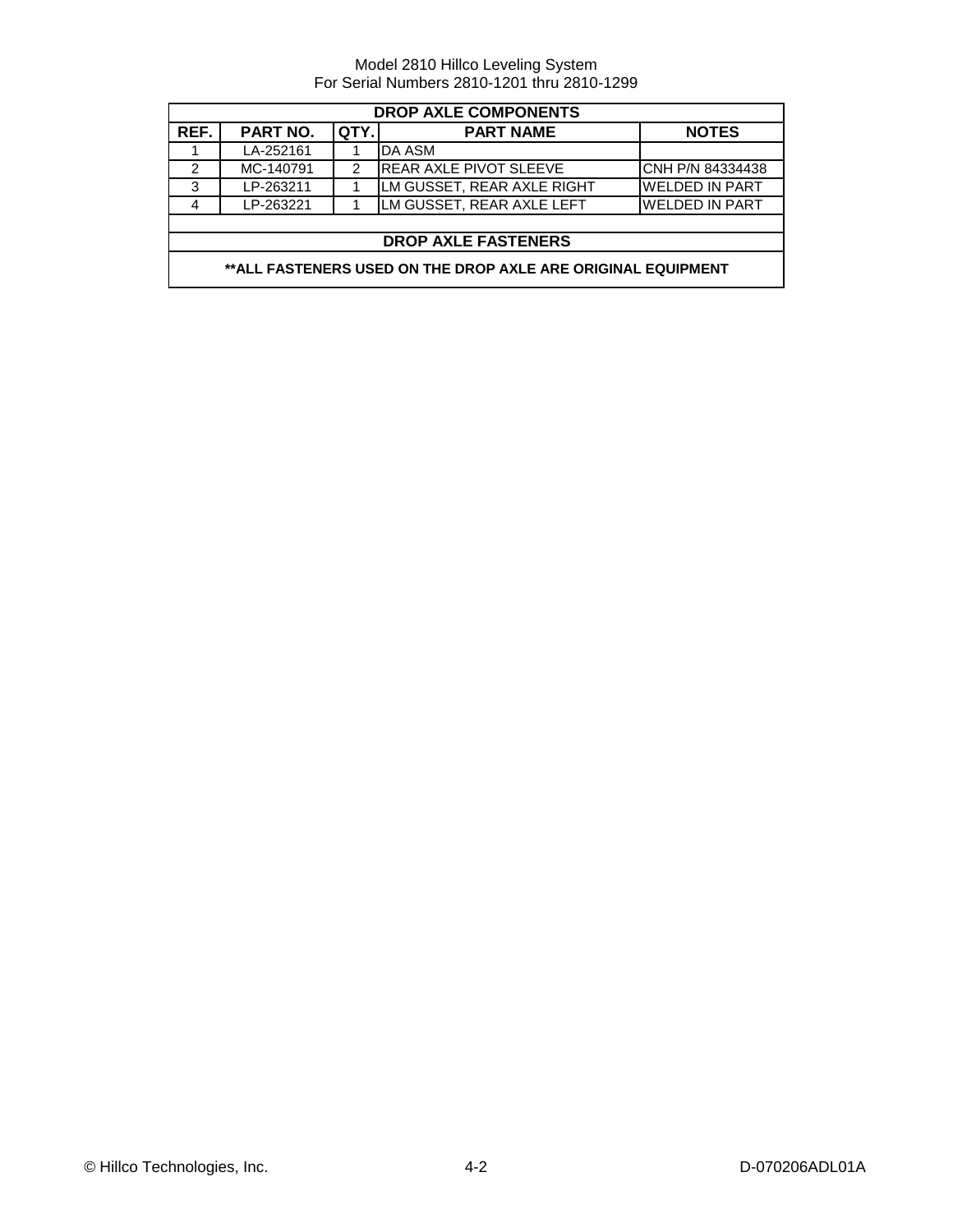| <b>DROP AXLE COMPONENTS</b>                                  |                                                      |   |                               |                       |  |  |  |
|--------------------------------------------------------------|------------------------------------------------------|---|-------------------------------|-----------------------|--|--|--|
| REF.                                                         | PART NO.<br>QTY.<br><b>PART NAME</b><br><b>NOTES</b> |   |                               |                       |  |  |  |
|                                                              | LA-252161                                            |   | DA ASM                        |                       |  |  |  |
| 2                                                            | MC-140791                                            | 2 | <b>REAR AXLE PIVOT SLEEVE</b> | CNH P/N 84334438      |  |  |  |
| 3                                                            | LP-263211                                            |   | LM GUSSET, REAR AXLE RIGHT    | <b>WELDED IN PART</b> |  |  |  |
| 4                                                            | LP-263221                                            |   | LM GUSSET, REAR AXLE LEFT     | <b>WELDED IN PART</b> |  |  |  |
|                                                              |                                                      |   |                               |                       |  |  |  |
|                                                              | <b>DROP AXLE FASTENERS</b>                           |   |                               |                       |  |  |  |
| **ALL FASTENERS USED ON THE DROP AXLE ARE ORIGINAL EQUIPMENT |                                                      |   |                               |                       |  |  |  |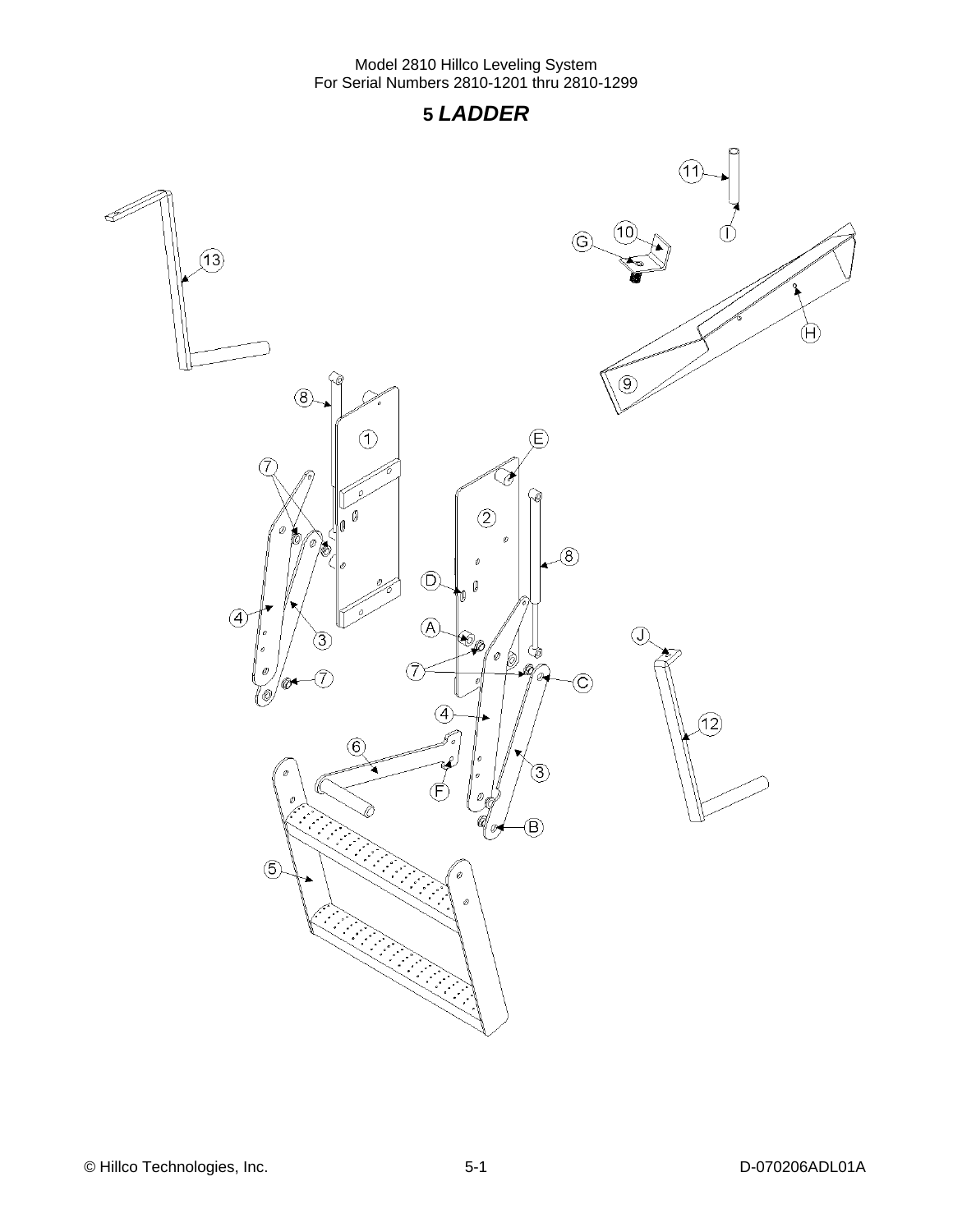### **5** *LADDER*

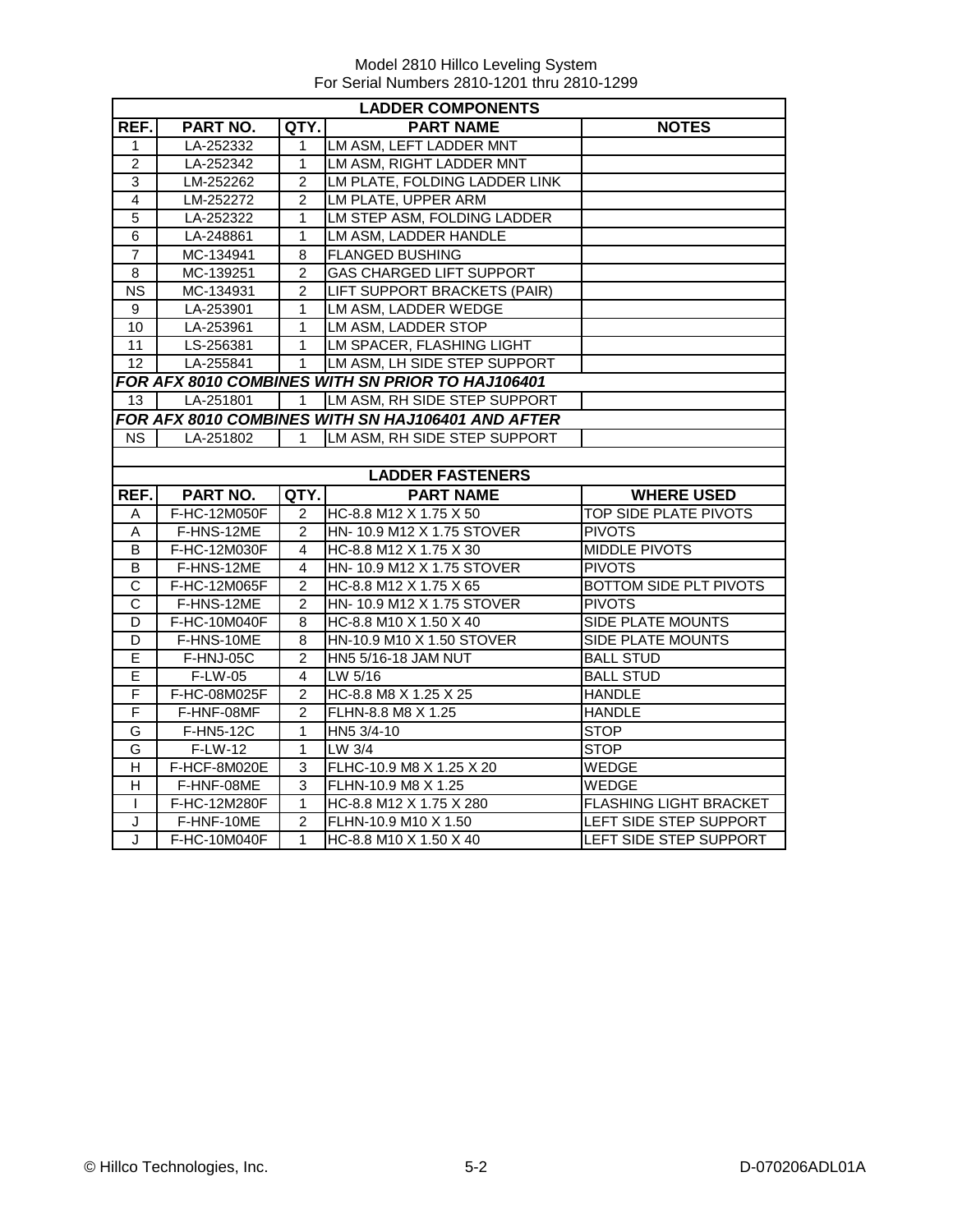|                       | <b>LADDER COMPONENTS</b> |                |                                                   |                               |  |  |
|-----------------------|--------------------------|----------------|---------------------------------------------------|-------------------------------|--|--|
| REF.                  | PART NO.                 | QTY.           | <b>PART NAME</b>                                  | <b>NOTES</b>                  |  |  |
| 1                     | LA-252332                | 1              | LM ASM, LEFT LADDER MNT                           |                               |  |  |
| $\overline{c}$        | LA-252342                | 1              | LM ASM, RIGHT LADDER MNT                          |                               |  |  |
| $\overline{3}$        | LM-252262                | $\overline{2}$ | LM PLATE, FOLDING LADDER LINK                     |                               |  |  |
| $\overline{4}$        | LM-252272                | $\overline{2}$ | LM PLATE, UPPER ARM                               |                               |  |  |
| $\overline{5}$        | LA-252322                | 1              | LM STEP ASM, FOLDING LADDER                       |                               |  |  |
| $\overline{6}$        | LA-248861                | 1              | LM ASM, LADDER HANDLE                             |                               |  |  |
| $\overline{7}$        | MC-134941                | 8              | <b>FLANGED BUSHING</b>                            |                               |  |  |
| 8                     | MC-139251                | $\overline{2}$ | <b>GAS CHARGED LIFT SUPPORT</b>                   |                               |  |  |
| ΝS                    | MC-134931                | 2              | LIFT SUPPORT BRACKETS (PAIR)                      |                               |  |  |
| 9                     | LA-253901                | 1              | LM ASM, LADDER WEDGE                              |                               |  |  |
| 10                    | LA-253961                | 1              | LM ASM, LADDER STOP                               |                               |  |  |
| 11                    | LS-256381                | $\mathbf{1}$   | <b>LM SPACER, FLASHING LIGHT</b>                  |                               |  |  |
| $\overline{12}$       | LA-255841                | $\mathbf{1}$   | LM ASM, LH SIDE STEP SUPPORT                      |                               |  |  |
|                       |                          |                | FOR AFX 8010 COMBINES WITH SN PRIOR TO HAJ106401  |                               |  |  |
| 13                    | LA-251801                | 1              | LM ASM, RH SIDE STEP SUPPORT                      |                               |  |  |
|                       |                          |                | FOR AFX 8010 COMBINES WITH SN HAJ106401 AND AFTER |                               |  |  |
| NS.                   | LA-251802                | $\mathbf{1}$   | LM ASM, RH SIDE STEP SUPPORT                      |                               |  |  |
|                       |                          |                |                                                   |                               |  |  |
|                       |                          |                | <b>LADDER FASTENERS</b>                           |                               |  |  |
| REF.                  | PART NO.                 | QTY.           | <b>PART NAME</b>                                  | <b>WHERE USED</b>             |  |  |
| A                     | F-HC-12M050F             | 2              | HC-8.8 M12 X 1.75 X 50                            | TOP SIDE PLATE PIVOTS         |  |  |
| A                     | F-HNS-12ME               | $\overline{2}$ | HN- 10.9 M12 X 1.75 STOVER                        | <b>PIVOTS</b>                 |  |  |
| B                     | F-HC-12M030F             | 4              | HC-8.8 M12 X 1.75 X 30                            | <b>MIDDLE PIVOTS</b>          |  |  |
| $\overline{B}$        | F-HNS-12ME               | 4              | HN- 10.9 M12 X 1.75 STOVER                        | <b>PIVOTS</b>                 |  |  |
| $\overline{C}$        | F-HC-12M065F             | $\overline{2}$ | HC-8.8 M12 X 1.75 X 65                            | BOTTOM SIDE PLT PIVOTS        |  |  |
| $\overline{\text{c}}$ | F-HNS-12ME               | 2              | HN- 10.9 M12 X 1.75 STOVER                        | <b>PIVOTS</b>                 |  |  |
| D                     | F-HC-10M040F             | 8              | HC-8.8 M10 X 1.50 X 40                            | <b>SIDE PLATE MOUNTS</b>      |  |  |
| D                     | F-HNS-10ME               | 8              | HN-10.9 M10 X 1.50 STOVER                         | SIDE PLATE MOUNTS             |  |  |
| E                     | $F-HNJ-05C$              | $\overline{2}$ | <b>HN5 5/16-18 JAM NUT</b>                        | <b>BALL STUD</b>              |  |  |
| E                     | F-LW-05                  | 4              | LW 5/16                                           | <b>BALL STUD</b>              |  |  |
| $\mathsf F$           | F-HC-08M025F             | 2              | HC-8.8 M8 X 1.25 X 25                             | <b>HANDLE</b>                 |  |  |
| F                     | F-HNF-08MF               | $\overline{2}$ | FLHN-8.8 M8 X 1.25                                | <b>HANDLE</b>                 |  |  |
| G                     | F-HN5-12C                | 1              | HN5 3/4-10                                        | <b>STOP</b>                   |  |  |
| G                     | $F-LW-12$                | 1              | LW 3/4                                            | <b>STOP</b>                   |  |  |
| H                     | F-HCF-8M020E             | 3              | FLHC-10.9 M8 X 1.25 X 20                          | WEDGE                         |  |  |
| $\overline{H}$        | F-HNF-08ME               | 3              | FLHN-10.9 M8 X 1.25                               | WEDGE                         |  |  |
| $\mathbf{I}$          | F-HC-12M280F             | 1              | HC-8.8 M12 X 1.75 X 280                           | <b>FLASHING LIGHT BRACKET</b> |  |  |
| J                     | F-HNF-10ME               | $\overline{2}$ | FLHN-10.9 M10 X 1.50                              | LEFT SIDE STEP SUPPORT        |  |  |
| J                     | F-HC-10M040F             | 1              | HC-8.8 M10 X 1.50 X 40                            | LEFT SIDE STEP SUPPORT        |  |  |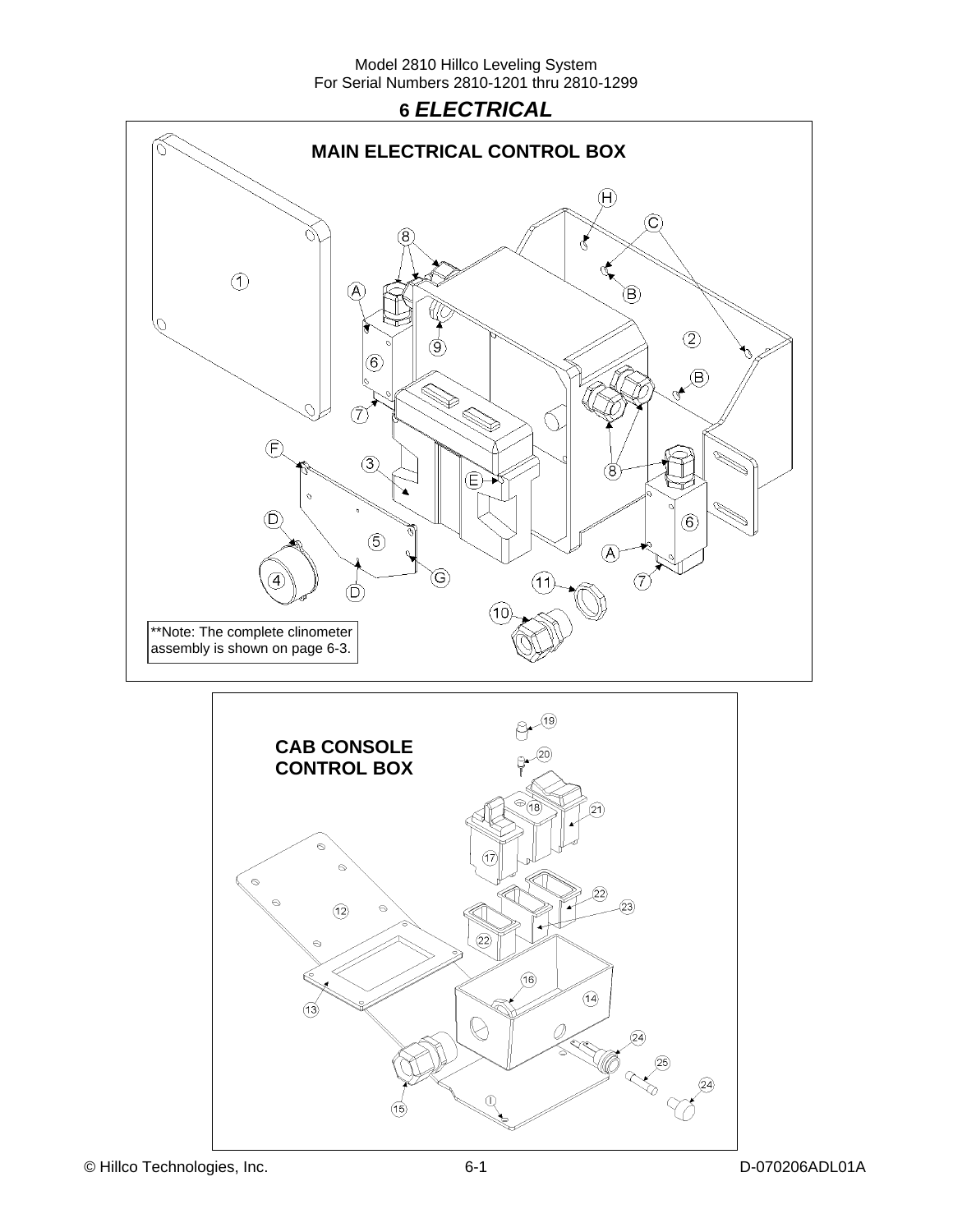

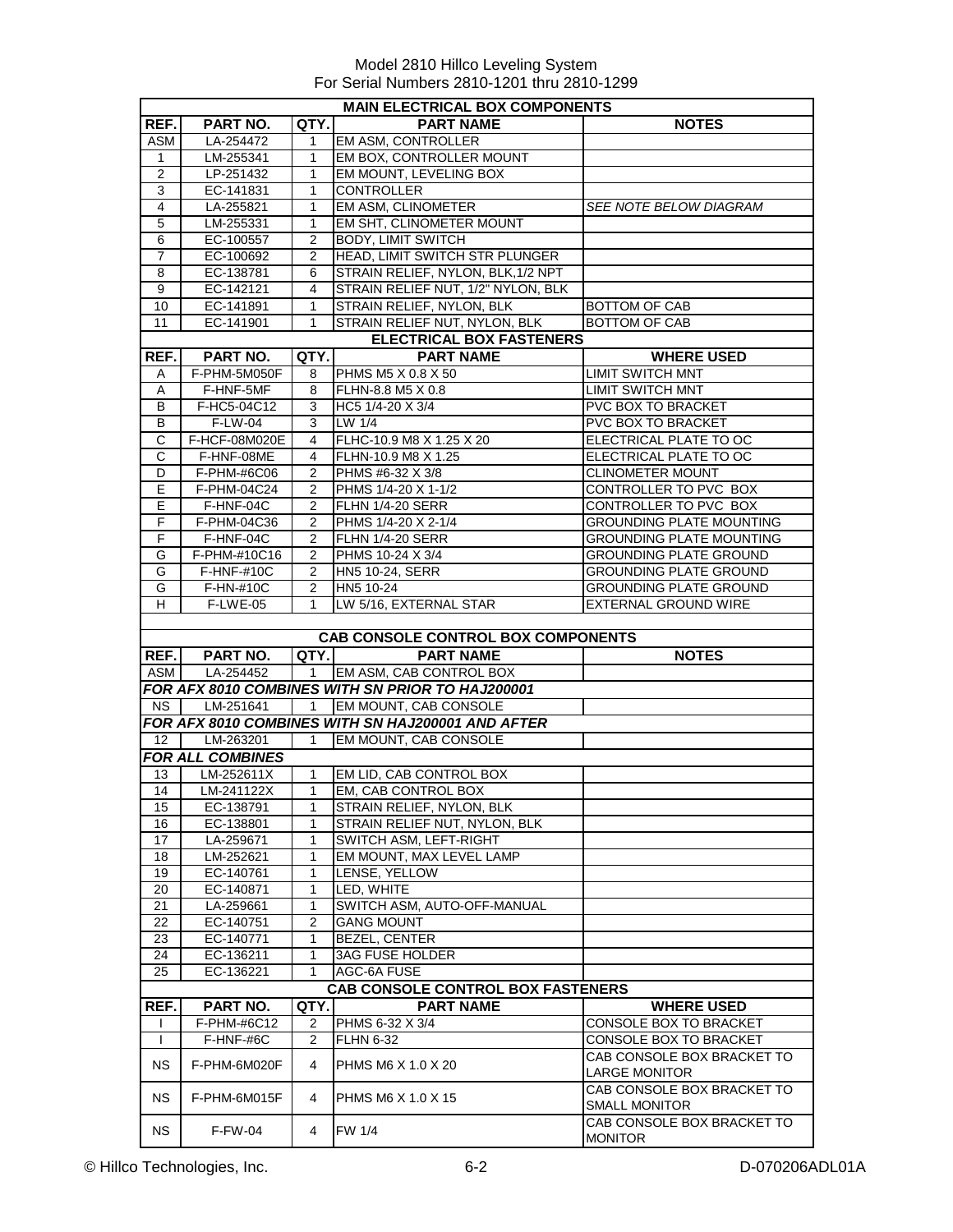|                   | <b>MAIN ELECTRICAL BOX COMPONENTS</b> |                |                                                   |                                                                                  |  |  |
|-------------------|---------------------------------------|----------------|---------------------------------------------------|----------------------------------------------------------------------------------|--|--|
| REF.              | PART NO.                              | QTY.           | <b>PART NAME</b>                                  | <b>NOTES</b>                                                                     |  |  |
| <b>ASM</b>        | LA-254472                             | 1              | EM ASM, CONTROLLER                                |                                                                                  |  |  |
| 1                 | LM-255341                             | 1              | EM BOX, CONTROLLER MOUNT                          |                                                                                  |  |  |
| $\overline{2}$    | LP-251432                             | 1              | EM MOUNT, LEVELING BOX                            |                                                                                  |  |  |
| 3                 | EC-141831                             | 1              | <b>CONTROLLER</b>                                 |                                                                                  |  |  |
| $\overline{4}$    | LA-255821                             | 1              | <b>EM ASM, CLINOMETER</b>                         | SEE NOTE BELOW DIAGRAM                                                           |  |  |
| 5                 | LM-255331                             | 1              | EM SHT, CLINOMETER MOUNT                          |                                                                                  |  |  |
| 6                 | EC-100557                             | 2              | <b>BODY, LIMIT SWITCH</b>                         |                                                                                  |  |  |
| $\overline{7}$    | EC-100692                             | $\overline{2}$ | HEAD, LIMIT SWITCH STR PLUNGER                    |                                                                                  |  |  |
| 8                 | EC-138781                             | 6              | STRAIN RELIEF, NYLON, BLK, 1/2 NPT                |                                                                                  |  |  |
| 9                 | EC-142121                             | 4              | STRAIN RELIEF NUT, 1/2" NYLON, BLK                |                                                                                  |  |  |
|                   |                                       |                | STRAIN RELIEF. NYLON. BLK                         |                                                                                  |  |  |
| 10                | EC-141891                             | 1              |                                                   | BOTTOM OF CAB                                                                    |  |  |
| 11                | EC-141901                             | 1              | STRAIN RELIEF NUT, NYLON, BLK                     | <b>BOTTOM OF CAB</b>                                                             |  |  |
|                   |                                       |                | <b>ELECTRICAL BOX FASTENERS</b>                   |                                                                                  |  |  |
| REF.              | PART NO.                              | QTY.           | <b>PART NAME</b>                                  | <b>WHERE USED</b>                                                                |  |  |
| A                 | F-PHM-5M050F                          | 8              | PHMS M5 X 0.8 X 50                                | <b>LIMIT SWITCH MNT</b>                                                          |  |  |
| Α                 | F-HNF-5MF                             | 8              | FLHN-8.8 M5 X 0.8                                 | <b>LIMIT SWITCH MNT</b>                                                          |  |  |
| B                 | F-HC5-04C12                           | 3              | HC5 1/4-20 X 3/4                                  | <b>PVC BOX TO BRACKET</b>                                                        |  |  |
| B                 | F-LW-04                               | 3              | LW 1/4                                            | <b>PVC BOX TO BRACKET</b>                                                        |  |  |
| C                 | F-HCF-08M020E                         | 4              | FLHC-10.9 M8 X 1.25 X 20                          | ELECTRICAL PLATE TO OC                                                           |  |  |
| C                 | F-HNF-08ME                            | 4              | FLHN-10.9 M8 X 1.25                               | ELECTRICAL PLATE TO OC                                                           |  |  |
| D                 | F-PHM-#6C06                           | 2              | PHMS #6-32 X 3/8                                  | <b>CLINOMETER MOUNT</b>                                                          |  |  |
| Е                 | F-PHM-04C24                           | 2              | PHMS 1/4-20 X 1-1/2                               | CONTROLLER TO PVC BOX                                                            |  |  |
| Е                 | F-HNF-04C                             | 2              | FLHN 1/4-20 SERR                                  | CONTROLLER TO PVC BOX                                                            |  |  |
| F                 | F-PHM-04C36                           | 2              | PHMS 1/4-20 X 2-1/4                               | <b>GROUNDING PLATE MOUNTING</b>                                                  |  |  |
| F                 | F-HNF-04C                             | 2              | <b>FLHN 1/4-20 SERR</b>                           | <b>GROUNDING PLATE MOUNTING</b>                                                  |  |  |
| G                 | F-PHM-#10C16                          | 2              | PHMS 10-24 X 3/4                                  | <b>GROUNDING PLATE GROUND</b>                                                    |  |  |
| G                 | <b>F-HNF-#10C</b>                     | 2              | HN5 10-24, SERR                                   | <b>GROUNDING PLATE GROUND</b>                                                    |  |  |
| G                 | F-HN-#10C                             | $\overline{2}$ | HN5 10-24                                         | <b>GROUNDING PLATE GROUND</b>                                                    |  |  |
| Н                 |                                       | 1              |                                                   |                                                                                  |  |  |
|                   | F-LWE-05                              |                | LW 5/16, EXTERNAL STAR                            | <b>EXTERNAL GROUND WIRE</b>                                                      |  |  |
|                   |                                       |                |                                                   |                                                                                  |  |  |
|                   |                                       |                | <b>CAB CONSOLE CONTROL BOX COMPONENTS</b>         |                                                                                  |  |  |
| REF.              | PART NO.                              | QTY.           | <b>PART NAME</b>                                  | <b>NOTES</b>                                                                     |  |  |
| ASM               | LA-254452                             | 1              | EM ASM, CAB CONTROL BOX                           |                                                                                  |  |  |
|                   |                                       |                | FOR AFX 8010 COMBINES WITH SN PRIOR TO HAJ200001  |                                                                                  |  |  |
| <b>NS</b>         | LM-251641                             | 1              | EM MOUNT, CAB CONSOLE                             |                                                                                  |  |  |
|                   |                                       |                | FOR AFX 8010 COMBINES WITH SN HAJ200001 AND AFTER |                                                                                  |  |  |
| $12 \overline{ }$ | LM-263201                             | 1              | EM MOUNT. CAB CONSOLE                             |                                                                                  |  |  |
|                   | <b>FOR ALL COMBINES</b>               |                |                                                   |                                                                                  |  |  |
| 13                | LM-252611X                            | 1              | EM LID, CAB CONTROL BOX                           |                                                                                  |  |  |
| 14                | LM-241122X                            | $\mathbf{1}$   | EM, CAB CONTROL BOX                               |                                                                                  |  |  |
| 15                | EC-138791                             |                |                                                   |                                                                                  |  |  |
| 16                |                                       | 1              | STRAIN RELIEF, NYLON, BLK                         |                                                                                  |  |  |
|                   | EC-138801                             | 1              | STRAIN RELIEF NUT, NYLON, BLK                     |                                                                                  |  |  |
| 17                | LA-259671                             | 1              | SWITCH ASM. LEFT-RIGHT                            |                                                                                  |  |  |
| 18                | LM-252621                             | 1              | EM MOUNT, MAX LEVEL LAMP                          |                                                                                  |  |  |
| 19                | EC-140761                             | 1              | LENSE. YELLOW                                     |                                                                                  |  |  |
| 20                | EC-140871                             | 1              | LED, WHITE                                        |                                                                                  |  |  |
| 21                |                                       | 1              | SWITCH ASM. AUTO-OFF-MANUAL                       |                                                                                  |  |  |
|                   | LA-259661                             |                |                                                   |                                                                                  |  |  |
| 22                | EC-140751                             | 2              | <b>GANG MOUNT</b>                                 |                                                                                  |  |  |
| 23                | EC-140771                             | 1              | BEZEL, CENTER                                     |                                                                                  |  |  |
| 24                | EC-136211                             | 1              | <b>3AG FUSE HOLDER</b>                            |                                                                                  |  |  |
| 25                | EC-136221                             | $\mathbf{1}$   | AGC-6A FUSE                                       |                                                                                  |  |  |
|                   |                                       |                | <b>CAB CONSOLE CONTROL BOX FASTENERS</b>          |                                                                                  |  |  |
| REF.              | PART NO.                              | QTY.           | <b>PART NAME</b>                                  | <b>WHERE USED</b>                                                                |  |  |
|                   | F-PHM-#6C12                           | 2              | PHMS 6-32 X 3/4                                   | CONSOLE BOX TO BRACKET                                                           |  |  |
| $\mathbf{I}$      | F-HNF-#6C                             | 2              | <b>FLHN 6-32</b>                                  | CONSOLE BOX TO BRACKET                                                           |  |  |
| NS.               | F-PHM-6M020F                          | 4              | PHMS M6 X 1.0 X 20                                | CAB CONSOLE BOX BRACKET TO                                                       |  |  |
|                   |                                       |                |                                                   | <b>LARGE MONITOR</b>                                                             |  |  |
| <b>NS</b>         | F-PHM-6M015F                          | 4              | PHMS M6 X 1.0 X 15                                | CAB CONSOLE BOX BRACKET TO<br><b>SMALL MONITOR</b><br>CAB CONSOLE BOX BRACKET TO |  |  |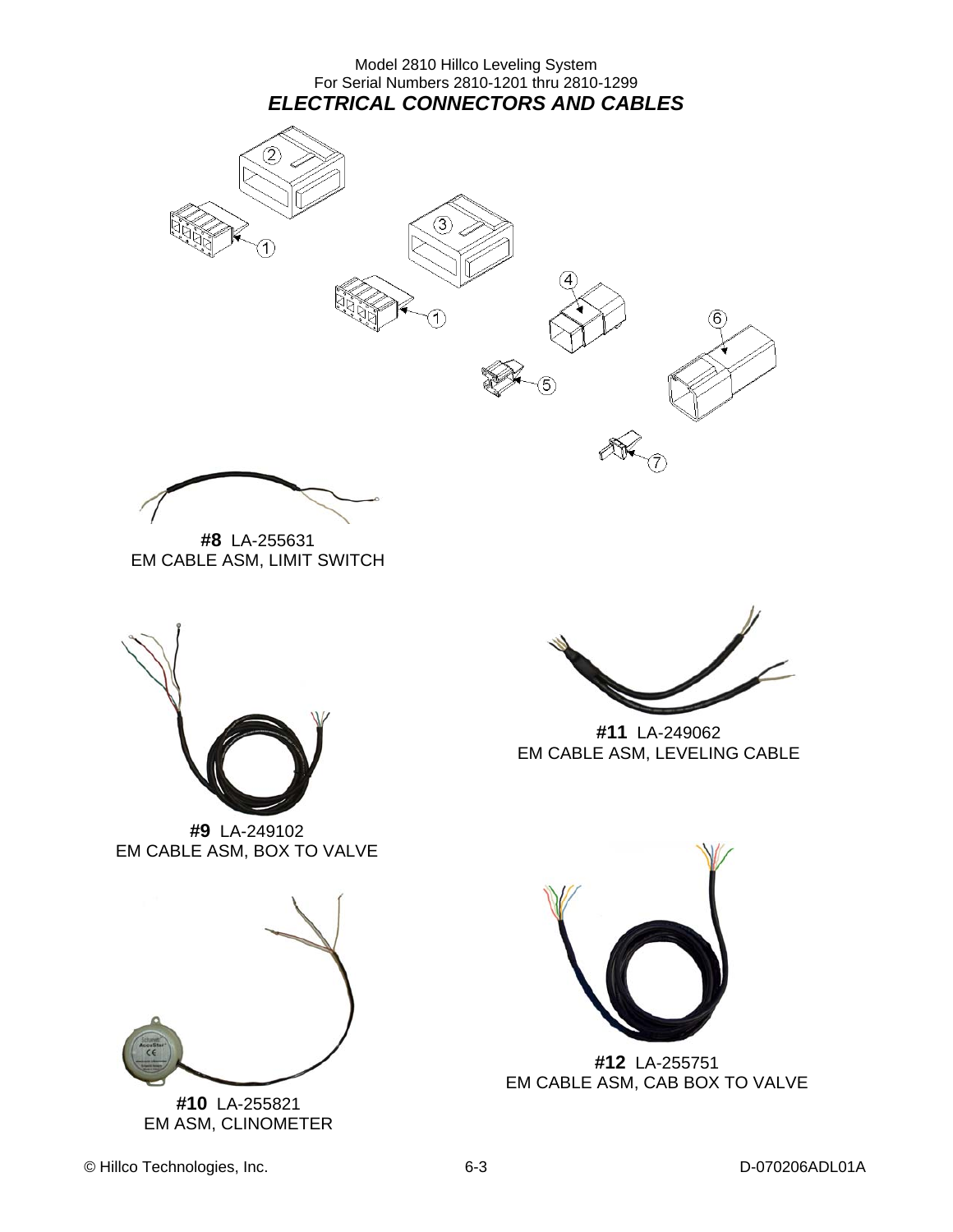Model 2810 Hillco Leveling System For Serial Numbers 2810-1201 thru 2810-1299 *ELECTRICAL CONNECTORS AND CABLES* 





**#8** LA-255631 EM CABLE ASM, LIMIT SWITCH



**#9** LA-249102 EM CABLE ASM, BOX TO VALVE



**#10** LA-255821 EM ASM, CLINOMETER



**#11** LA-249062 EM CABLE ASM, LEVELING CABLE



**#12** LA-255751 EM CABLE ASM, CAB BOX TO VALVE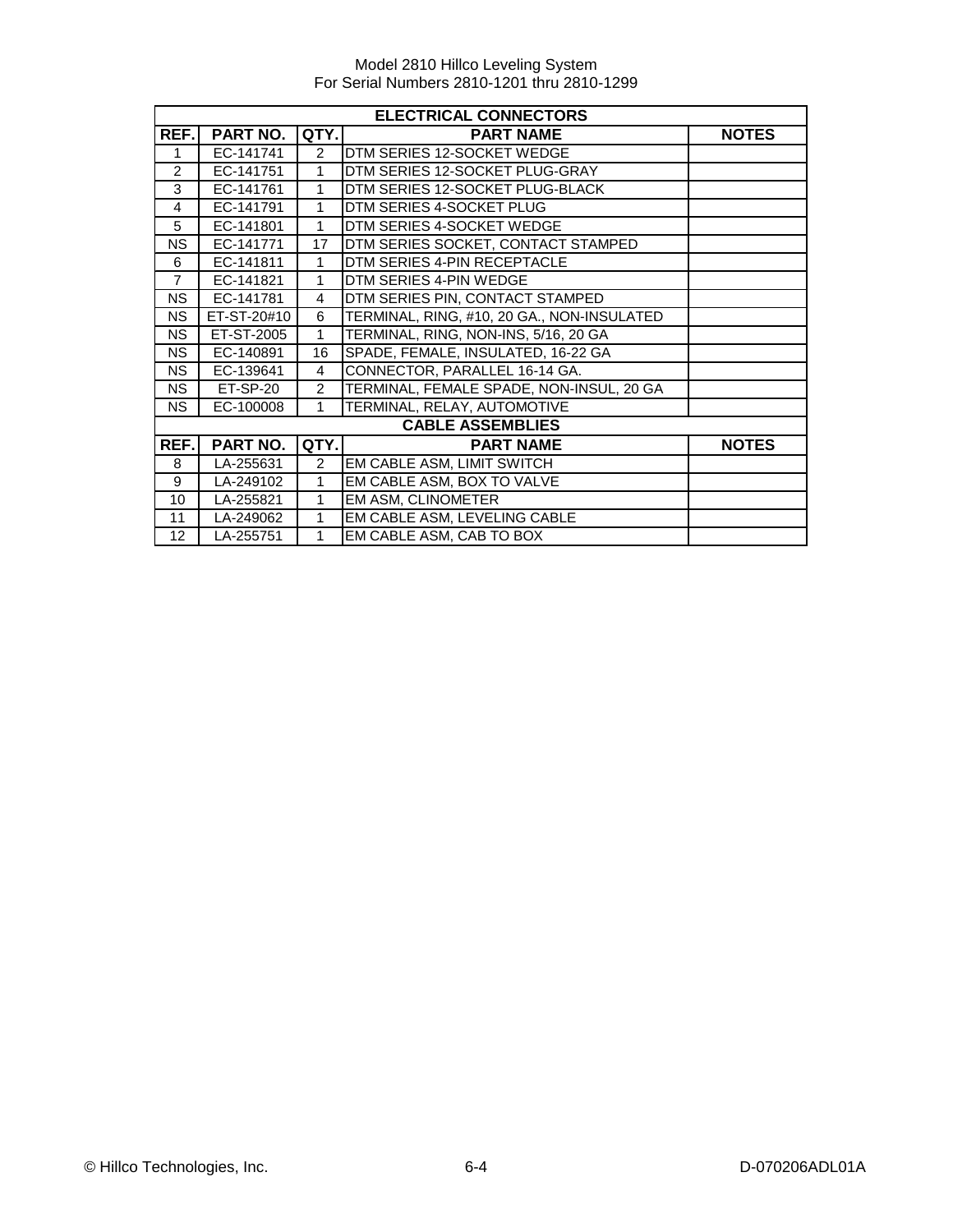| <b>ELECTRICAL CONNECTORS</b> |                 |                |                                            |              |  |
|------------------------------|-----------------|----------------|--------------------------------------------|--------------|--|
| REF.                         | <b>PART NO.</b> | QTY.           | <b>PART NAME</b>                           | <b>NOTES</b> |  |
| 1                            | EC-141741       | $\mathcal{P}$  | DTM SERIES 12-SOCKET WEDGE                 |              |  |
| $\mathfrak{p}$               | EC-141751       | $\mathbf{1}$   | DTM SERIES 12-SOCKET PLUG-GRAY             |              |  |
| 3                            | EC-141761       | 1              | DTM SERIES 12-SOCKET PLUG-BLACK            |              |  |
| $\overline{4}$               | EC-141791       | 1              | DTM SERIES 4-SOCKET PLUG                   |              |  |
| 5                            | EC-141801       | 1              | DTM SERIES 4-SOCKET WEDGE                  |              |  |
| <b>NS</b>                    | EC-141771       | 17             | DTM SERIES SOCKET, CONTACT STAMPED         |              |  |
| 6                            | EC-141811       | 1              | DTM SERIES 4-PIN RECEPTACLE                |              |  |
| $\overline{7}$               | EC-141821       | 1              | DTM SERIES 4-PIN WEDGE                     |              |  |
| <b>NS</b>                    | EC-141781       | 4              | DTM SERIES PIN, CONTACT STAMPED            |              |  |
| <b>NS</b>                    | ET-ST-20#10     | 6              | TERMINAL, RING, #10, 20 GA., NON-INSULATED |              |  |
| <b>NS</b>                    | ET-ST-2005      | 1              | TERMINAL, RING, NON-INS, 5/16, 20 GA       |              |  |
| <b>NS</b>                    | EC-140891       | 16             | SPADE, FEMALE, INSULATED, 16-22 GA         |              |  |
| <b>NS</b>                    | EC-139641       | $\overline{4}$ | CONNECTOR, PARALLEL 16-14 GA.              |              |  |
| <b>NS</b>                    | ET-SP-20        | $\overline{2}$ | TERMINAL, FEMALE SPADE, NON-INSUL, 20 GA   |              |  |
| <b>NS</b>                    | EC-100008       | 1              | TERMINAL, RELAY, AUTOMOTIVE                |              |  |
|                              |                 |                | <b>CABLE ASSEMBLIES</b>                    |              |  |
| REF.                         | <b>PART NO.</b> | QTY.           | <b>PART NAME</b>                           | <b>NOTES</b> |  |
| 8                            | LA-255631       | $\overline{2}$ | EM CABLE ASM, LIMIT SWITCH                 |              |  |
| 9                            | LA-249102       | 1              | EM CABLE ASM, BOX TO VALVE                 |              |  |
| 10                           | LA-255821       | 1              | EM ASM, CLINOMETER                         |              |  |
| 11                           | LA-249062       | 1              | EM CABLE ASM, LEVELING CABLE               |              |  |
| 12                           | LA-255751       | 1              | EM CABLE ASM, CAB TO BOX                   |              |  |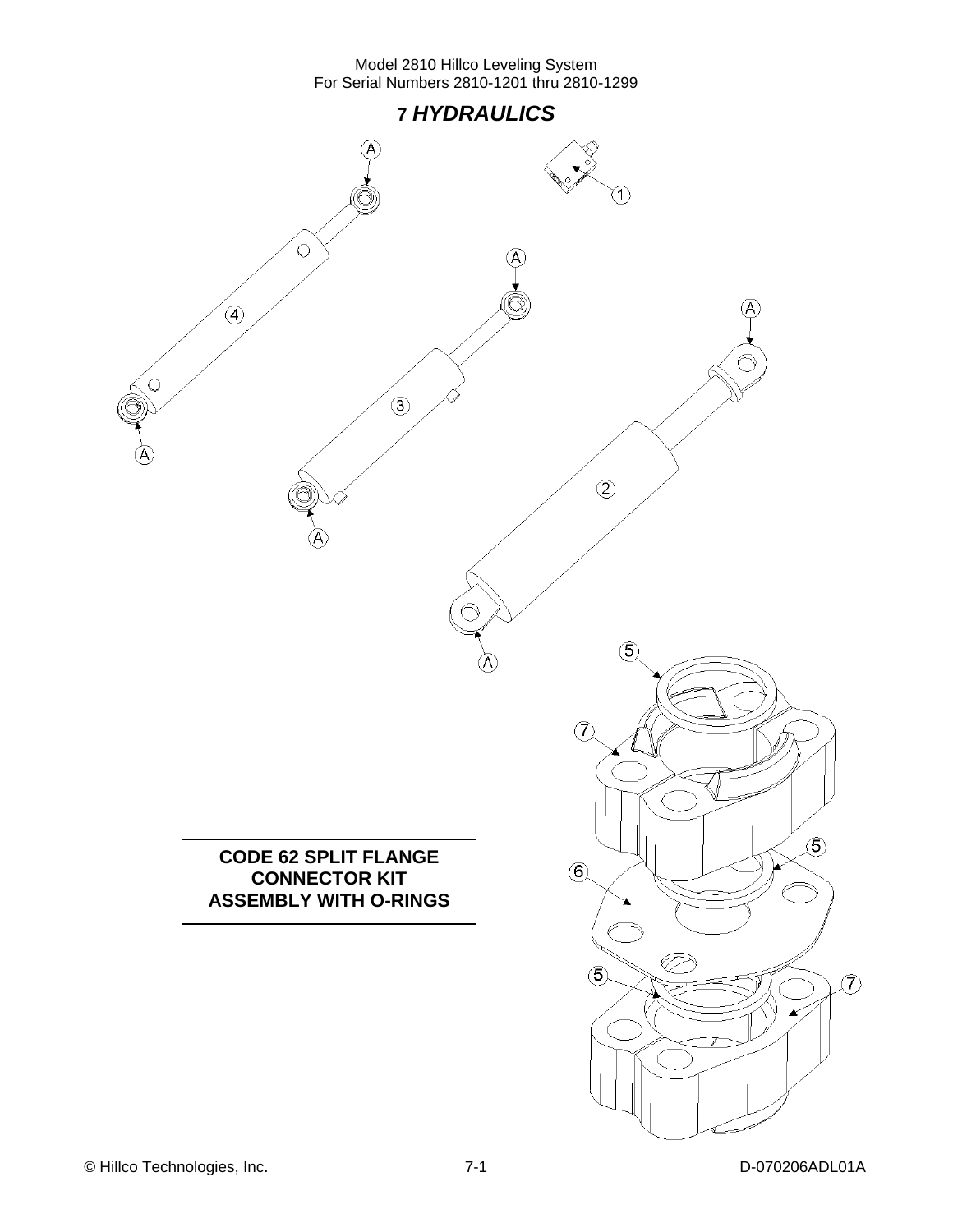

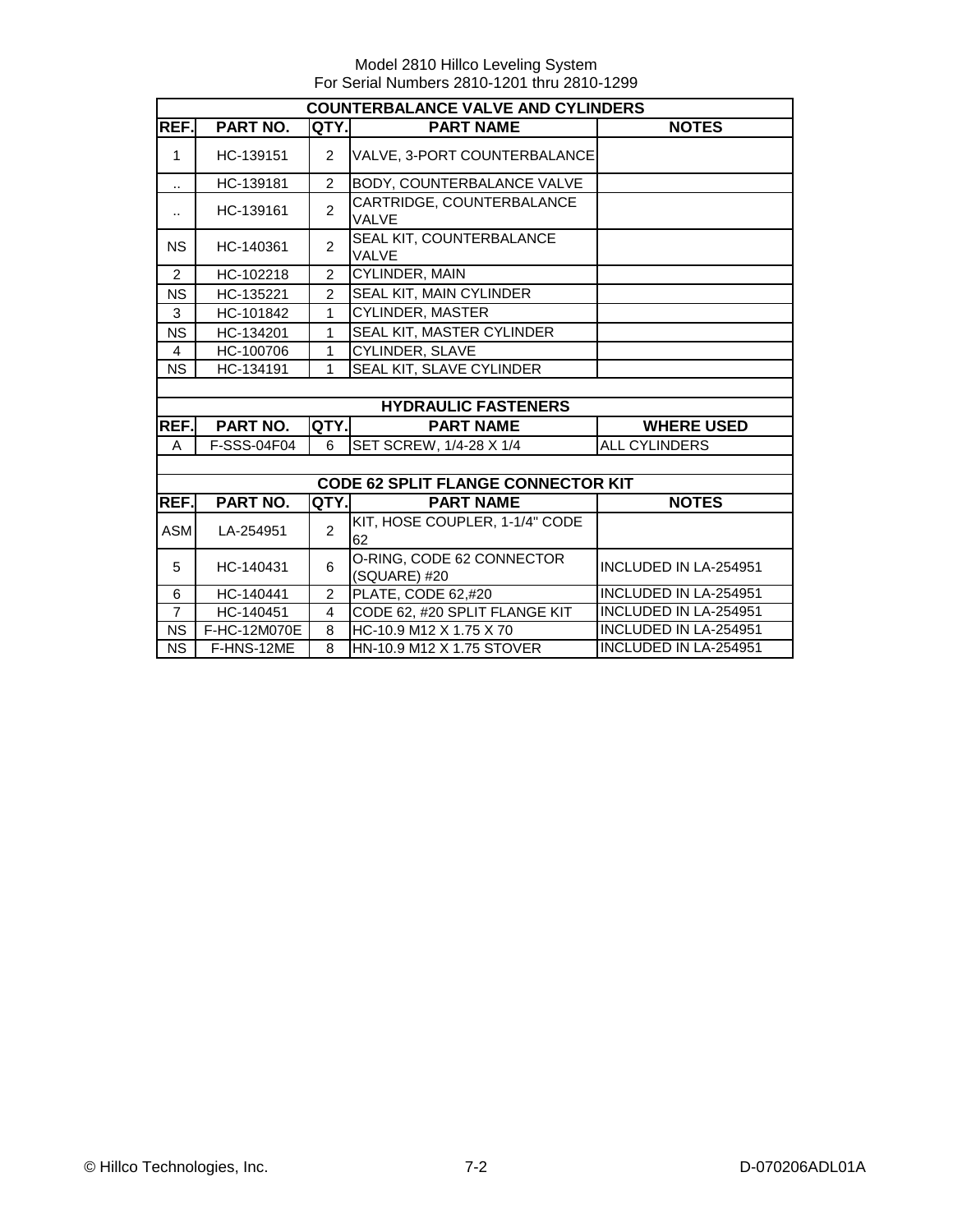|                | <b>COUNTERBALANCE VALVE AND CYLINDERS</b> |                |                                           |                              |  |  |
|----------------|-------------------------------------------|----------------|-------------------------------------------|------------------------------|--|--|
| REF.           | PART NO.                                  | QTY.           | <b>PART NAME</b>                          | <b>NOTES</b>                 |  |  |
| $\mathbf{1}$   | HC-139151                                 | $\overline{2}$ | VALVE, 3-PORT COUNTERBALANCE              |                              |  |  |
| .,             | HC-139181                                 | $\overline{2}$ | BODY, COUNTERBALANCE VALVE                |                              |  |  |
|                | HC-139161                                 | $\overline{2}$ | CARTRIDGE, COUNTERBALANCE<br><b>VALVE</b> |                              |  |  |
| <b>NS</b>      | HC-140361                                 | $\overline{2}$ | SEAL KIT, COUNTERBALANCE<br><b>VALVE</b>  |                              |  |  |
| $\overline{2}$ | HC-102218                                 | $\overline{2}$ | CYLINDER, MAIN                            |                              |  |  |
| <b>NS</b>      | HC-135221                                 | $\overline{2}$ | SEAL KIT, MAIN CYLINDER                   |                              |  |  |
| 3              | HC-101842                                 | 1              | CYLINDER, MASTER                          |                              |  |  |
| <b>NS</b>      | HC-134201                                 | 1              | <b>SEAL KIT, MASTER CYLINDER</b>          |                              |  |  |
| 4              | HC-100706                                 | 1              | <b>CYLINDER, SLAVE</b>                    |                              |  |  |
| <b>NS</b>      | HC-134191                                 | 1              | SEAL KIT, SLAVE CYLINDER                  |                              |  |  |
|                |                                           |                |                                           |                              |  |  |
|                |                                           |                | <b>HYDRAULIC FASTENERS</b>                |                              |  |  |
| REF.           | PART NO.                                  | QTY.           | <b>PART NAME</b>                          | <b>WHERE USED</b>            |  |  |
| A              | F-SSS-04F04                               | 6              | SET SCREW, 1/4-28 X 1/4                   | <b>ALL CYLINDERS</b>         |  |  |
|                |                                           |                |                                           |                              |  |  |
|                |                                           |                | <b>CODE 62 SPLIT FLANGE CONNECTOR KIT</b> |                              |  |  |
| REF.           | <b>PART NO.</b>                           | QTY.           | <b>PART NAME</b>                          | <b>NOTES</b>                 |  |  |
| <b>ASM</b>     | LA-254951                                 | $\mathcal{P}$  | KIT, HOSE COUPLER, 1-1/4" CODE<br>62      |                              |  |  |
| 5              | HC-140431                                 | 6              | O-RING, CODE 62 CONNECTOR<br>(SQUARE) #20 | <b>INCLUDED IN LA-254951</b> |  |  |
| 6              | HC-140441                                 | $\overline{2}$ | PLATE, CODE 62,#20                        | <b>INCLUDED IN LA-254951</b> |  |  |
| $\overline{7}$ | HC-140451                                 | 4              | CODE 62, #20 SPLIT FLANGE KIT             | <b>INCLUDED IN LA-254951</b> |  |  |
| <b>NS</b>      | F-HC-12M070E                              | 8              | HC-10.9 M12 X 1.75 X 70                   | <b>INCLUDED IN LA-254951</b> |  |  |
| <b>NS</b>      | F-HNS-12ME                                | 8              | HN-10.9 M12 X 1.75 STOVER                 | INCLUDED IN LA-254951        |  |  |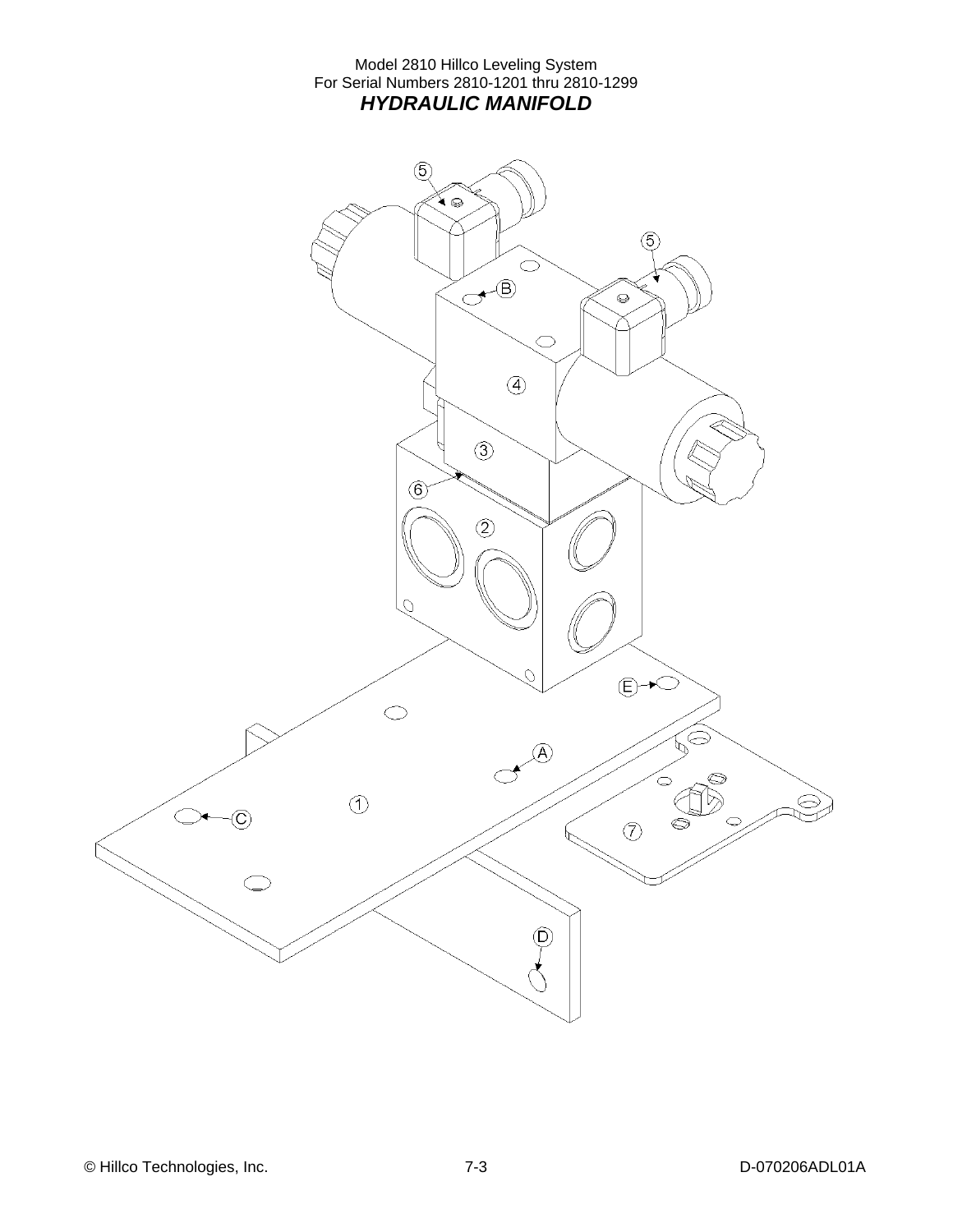Model 2810 Hillco Leveling System For Serial Numbers 2810-1201 thru 2810-1299 *HYDRAULIC MANIFOLD* 

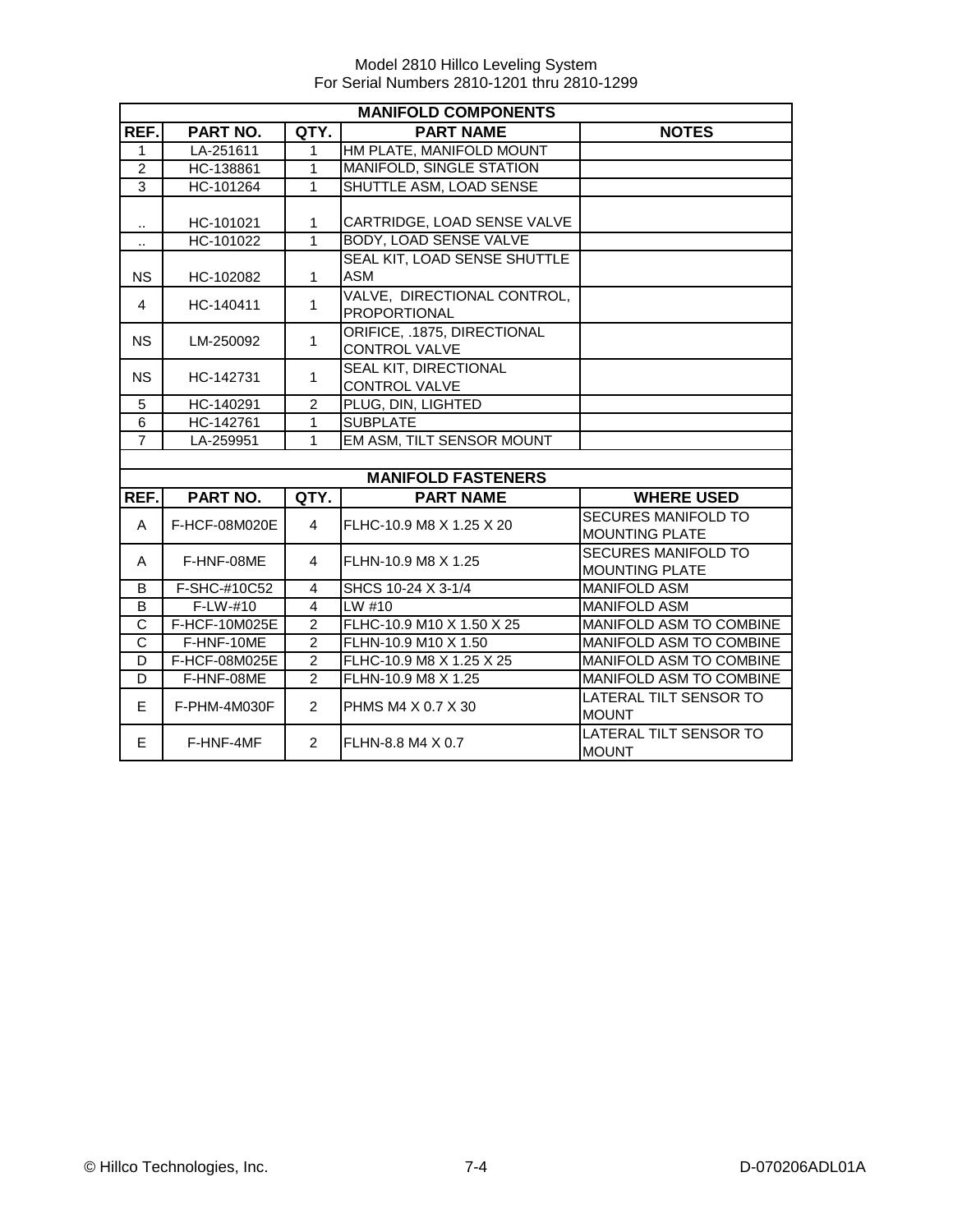|                | <b>MANIFOLD COMPONENTS</b> |                |                                                     |                                              |  |  |  |
|----------------|----------------------------|----------------|-----------------------------------------------------|----------------------------------------------|--|--|--|
| REF.           | PART NO.                   | <b>NOTES</b>   |                                                     |                                              |  |  |  |
| $\mathbf{1}$   | LA-251611                  | $\mathbf{1}$   | HM PLATE, MANIFOLD MOUNT                            |                                              |  |  |  |
| $\overline{2}$ | HC-138861                  | $\mathbf{1}$   | <b>MANIFOLD, SINGLE STATION</b>                     |                                              |  |  |  |
| 3              | HC-101264                  | $\mathbf{1}$   | SHUTTLE ASM, LOAD SENSE                             |                                              |  |  |  |
|                |                            |                |                                                     |                                              |  |  |  |
| $\cdot$        | HC-101021                  | 1              | CARTRIDGE, LOAD SENSE VALVE                         |                                              |  |  |  |
| $\ddotsc$      | HC-101022                  | $\overline{1}$ | <b>BODY, LOAD SENSE VALVE</b>                       |                                              |  |  |  |
|                |                            |                | SEAL KIT, LOAD SENSE SHUTTLE                        |                                              |  |  |  |
| <b>NS</b>      | HC-102082                  | $\mathbf{1}$   | <b>ASM</b>                                          |                                              |  |  |  |
| $\overline{4}$ | HC-140411                  | $\mathbf{1}$   | VALVE, DIRECTIONAL CONTROL,<br><b>PROPORTIONAL</b>  |                                              |  |  |  |
|                |                            |                |                                                     |                                              |  |  |  |
| <b>NS</b>      | LM-250092                  | $\mathbf{1}$   | ORIFICE. .1875. DIRECTIONAL<br><b>CONTROL VALVE</b> |                                              |  |  |  |
|                |                            |                | SEAL KIT, DIRECTIONAL                               |                                              |  |  |  |
| <b>NS</b>      | HC-142731                  | $\mathbf{1}$   | <b>CONTROL VALVE</b>                                |                                              |  |  |  |
| 5              | HC-140291                  | $\overline{2}$ | PLUG, DIN, LIGHTED                                  |                                              |  |  |  |
| 6              | HC-142761                  | $\mathbf{1}$   | <b>SUBPLATE</b>                                     |                                              |  |  |  |
| $\overline{7}$ | LA-259951                  | $\mathbf{1}$   | EM ASM, TILT SENSOR MOUNT                           |                                              |  |  |  |
|                |                            |                |                                                     |                                              |  |  |  |
|                |                            |                | <b>MANIFOLD FASTENERS</b>                           |                                              |  |  |  |
| REF.           | PART NO.                   | QTY.           | <b>PART NAME</b>                                    | <b>WHERE USED</b>                            |  |  |  |
| A              | F-HCF-08M020E              | $\overline{4}$ | FLHC-10.9 M8 X 1.25 X 20                            | SECURES MANIFOLD TO<br><b>MOUNTING PLATE</b> |  |  |  |
| $\mathsf{A}$   | F-HNF-08ME                 | 4              | FLHN-10.9 M8 X 1.25                                 | <b>SECURES MANIFOLD TO</b>                   |  |  |  |
|                |                            |                |                                                     | <b>MOUNTING PLATE</b>                        |  |  |  |
| B              | F-SHC-#10C52               | 4              | SHCS 10-24 X 3-1/4                                  | <b>MANIFOLD ASM</b>                          |  |  |  |
| B              | $F-LW-#10$                 | 4              | LW#10                                               | <b>MANIFOLD ASM</b>                          |  |  |  |
| C              | F-HCF-10M025E              | $\overline{2}$ | FLHC-10.9 M10 X 1.50 X 25                           | MANIFOLD ASM TO COMBINE                      |  |  |  |
| C              | F-HNF-10ME                 | $\overline{2}$ | FLHN-10.9 M10 X 1.50                                | MANIFOLD ASM TO COMBINE                      |  |  |  |
| D              | F-HCF-08M025E              | $\overline{2}$ | FLHC-10.9 M8 X 1.25 X 25                            | MANIFOLD ASM TO COMBINE                      |  |  |  |
| D              | F-HNF-08ME                 | $\overline{2}$ | FLHN-10.9 M8 X 1.25                                 | MANIFOLD ASM TO COMBINE                      |  |  |  |
| E              | F-PHM-4M030F               | $\overline{2}$ | PHMS M4 X 0.7 X 30                                  | LATERAL TILT SENSOR TO<br><b>MOUNT</b>       |  |  |  |
| E.             | F-HNF-4MF                  | $\overline{2}$ | FLHN-8.8 M4 X 0.7                                   | LATERAL TILT SENSOR TO<br><b>MOUNT</b>       |  |  |  |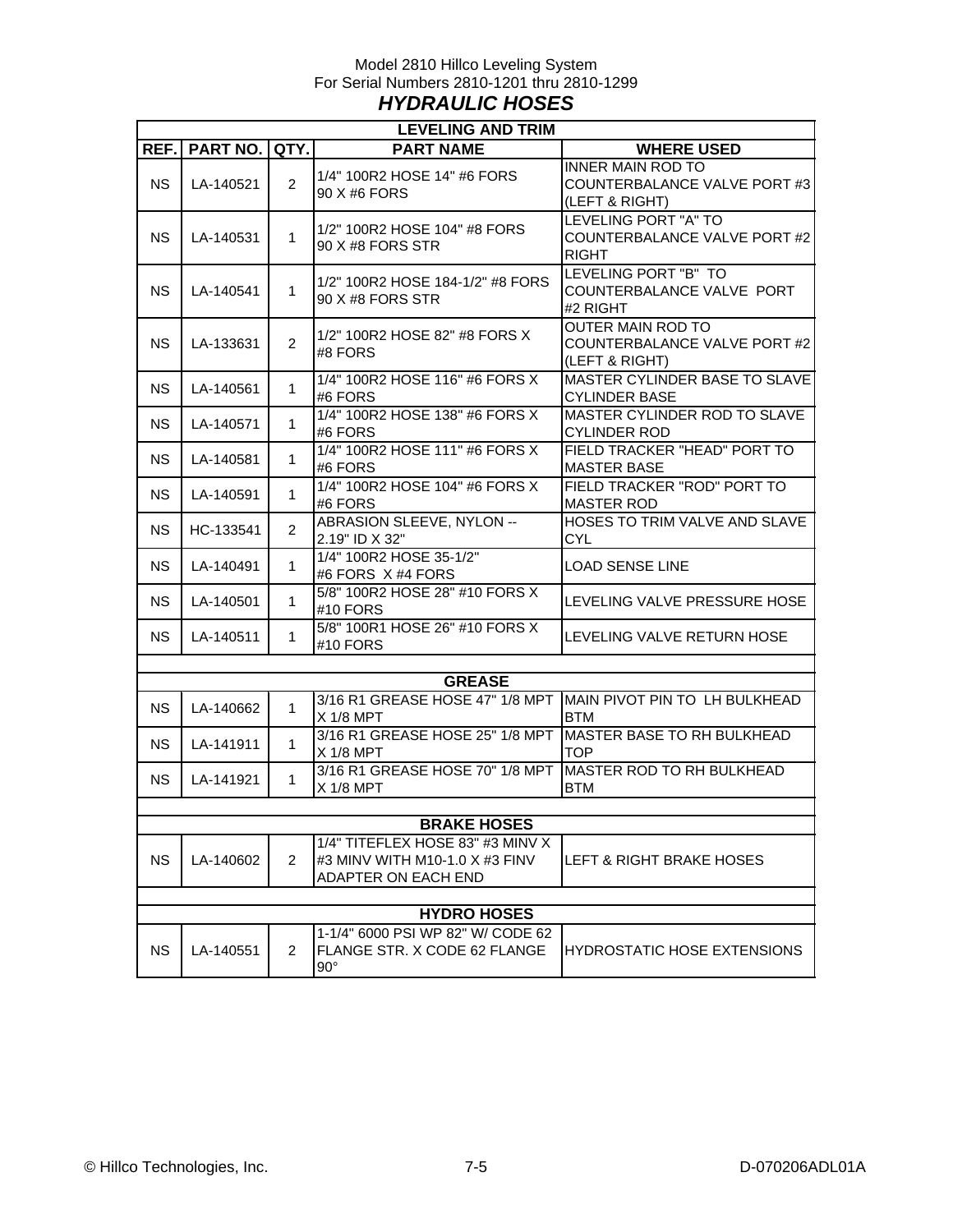#### Model 2810 Hillco Leveling System For Serial Numbers 2810-1201 thru 2810-1299 *HYDRAULIC HOSES*

| <b>LEVELING AND TRIM</b> |                         |                |                                                                                           |                                                                            |  |  |  |  |
|--------------------------|-------------------------|----------------|-------------------------------------------------------------------------------------------|----------------------------------------------------------------------------|--|--|--|--|
| REF.I                    | <b>PART NO.   QTY. </b> |                | <b>PART NAME</b>                                                                          | <b>WHERE USED</b>                                                          |  |  |  |  |
| <b>NS</b>                | LA-140521               | $\overline{2}$ | 1/4" 100R2 HOSE 14" #6 FORS<br>90 X #6 FORS                                               | <b>INNER MAIN ROD TO</b><br>COUNTERBALANCE VALVE PORT #3<br>(LEFT & RIGHT) |  |  |  |  |
| <b>NS</b>                | LA-140531               | 1              | 1/2" 100R2 HOSE 104" #8 FORS<br>90 X #8 FORS STR                                          | LEVELING PORT "A" TO<br>COUNTERBALANCE VALVE PORT #2<br><b>RIGHT</b>       |  |  |  |  |
| NS.                      | LA-140541               | 1              | 1/2" 100R2 HOSE 184-1/2" #8 FORS<br>90 X #8 FORS STR                                      | LEVELING PORT "B" TO<br>COUNTERBALANCE VALVE PORT<br>#2 RIGHT              |  |  |  |  |
| <b>NS</b>                | LA-133631               | 2              | 1/2" 100R2 HOSE 82" #8 FORS X<br>#8 FORS                                                  | <b>OUTER MAIN ROD TO</b><br>COUNTERBALANCE VALVE PORT #2<br>(LEFT & RIGHT) |  |  |  |  |
| <b>NS</b>                | LA-140561               | 1              | 1/4" 100R2 HOSE 116" #6 FORS X<br>#6 FORS                                                 | MASTER CYLINDER BASE TO SLAVE<br><b>CYLINDER BASE</b>                      |  |  |  |  |
| <b>NS</b>                | LA-140571               | 1              | 1/4" 100R2 HOSE 138" #6 FORS X<br>#6 FORS                                                 | MASTER CYLINDER ROD TO SLAVE<br><b>CYLINDER ROD</b>                        |  |  |  |  |
| <b>NS</b>                | LA-140581               | 1              | 1/4" 100R2 HOSE 111" #6 FORS X<br>#6 FORS                                                 | FIELD TRACKER "HEAD" PORT TO<br><b>MASTER BASE</b>                         |  |  |  |  |
| <b>NS</b>                | LA-140591               | 1              | 1/4" 100R2 HOSE 104" #6 FORS X<br>#6 FORS                                                 | FIELD TRACKER "ROD" PORT TO<br><b>MASTER ROD</b>                           |  |  |  |  |
| <b>NS</b>                | HC-133541               | $\overline{2}$ | ABRASION SLEEVE, NYLON --<br>2.19" ID X 32"                                               | HOSES TO TRIM VALVE AND SLAVE<br><b>CYL</b>                                |  |  |  |  |
| <b>NS</b>                | LA-140491               | 1              | 1/4" 100R2 HOSE 35-1/2"<br>#6 FORS X #4 FORS                                              | <b>LOAD SENSE LINE</b>                                                     |  |  |  |  |
| NS.                      | LA-140501               | 1              | 5/8" 100R2 HOSE 28" #10 FORS X<br>#10 FORS                                                | LEVELING VALVE PRESSURE HOSE                                               |  |  |  |  |
| <b>NS</b>                | LA-140511               | 1              | 5/8" 100R1 HOSE 26" #10 FORS X<br>#10 FORS                                                | LEVELING VALVE RETURN HOSE                                                 |  |  |  |  |
|                          |                         |                |                                                                                           |                                                                            |  |  |  |  |
|                          |                         |                | <b>GREASE</b>                                                                             |                                                                            |  |  |  |  |
| <b>NS</b>                | LA-140662               | 1              | 3/16 R1 GREASE HOSE 47" 1/8 MPT<br>$X$ 1/8 MPT                                            | MAIN PIVOT PIN TO LH BULKHEAD<br><b>BTM</b>                                |  |  |  |  |
| <b>NS</b>                | LA-141911               | 1              | 3/16 R1 GREASE HOSE 25" 1/8 MPT<br>$X$ 1/8 MPT                                            | MASTER BASE TO RH BULKHEAD<br><b>TOP</b>                                   |  |  |  |  |
| <b>NS</b>                | LA-141921               | 1              | 3/16 R1 GREASE HOSE 70" 1/8 MPT<br>X 1/8 MPT                                              | MASTER ROD TO RH BULKHEAD<br><b>BTM</b>                                    |  |  |  |  |
|                          |                         |                |                                                                                           |                                                                            |  |  |  |  |
|                          |                         |                | <b>BRAKE HOSES</b>                                                                        |                                                                            |  |  |  |  |
| <b>NS</b>                | LA-140602               | $\overline{2}$ | 1/4" TITEFLEX HOSE 83" #3 MINV X<br>#3 MINV WITH M10-1.0 X #3 FINV<br>ADAPTER ON EACH END | LEFT & RIGHT BRAKE HOSES                                                   |  |  |  |  |
|                          |                         |                |                                                                                           |                                                                            |  |  |  |  |
|                          |                         |                | <b>HYDRO HOSES</b>                                                                        |                                                                            |  |  |  |  |
| <b>NS</b>                | LA-140551               | $\overline{2}$ | 1-1/4" 6000 PSI WP 82" W/ CODE 62<br><b>FLANGE STR. X CODE 62 FLANGE</b><br>$90^{\circ}$  | <b>HYDROSTATIC HOSE EXTENSIONS</b>                                         |  |  |  |  |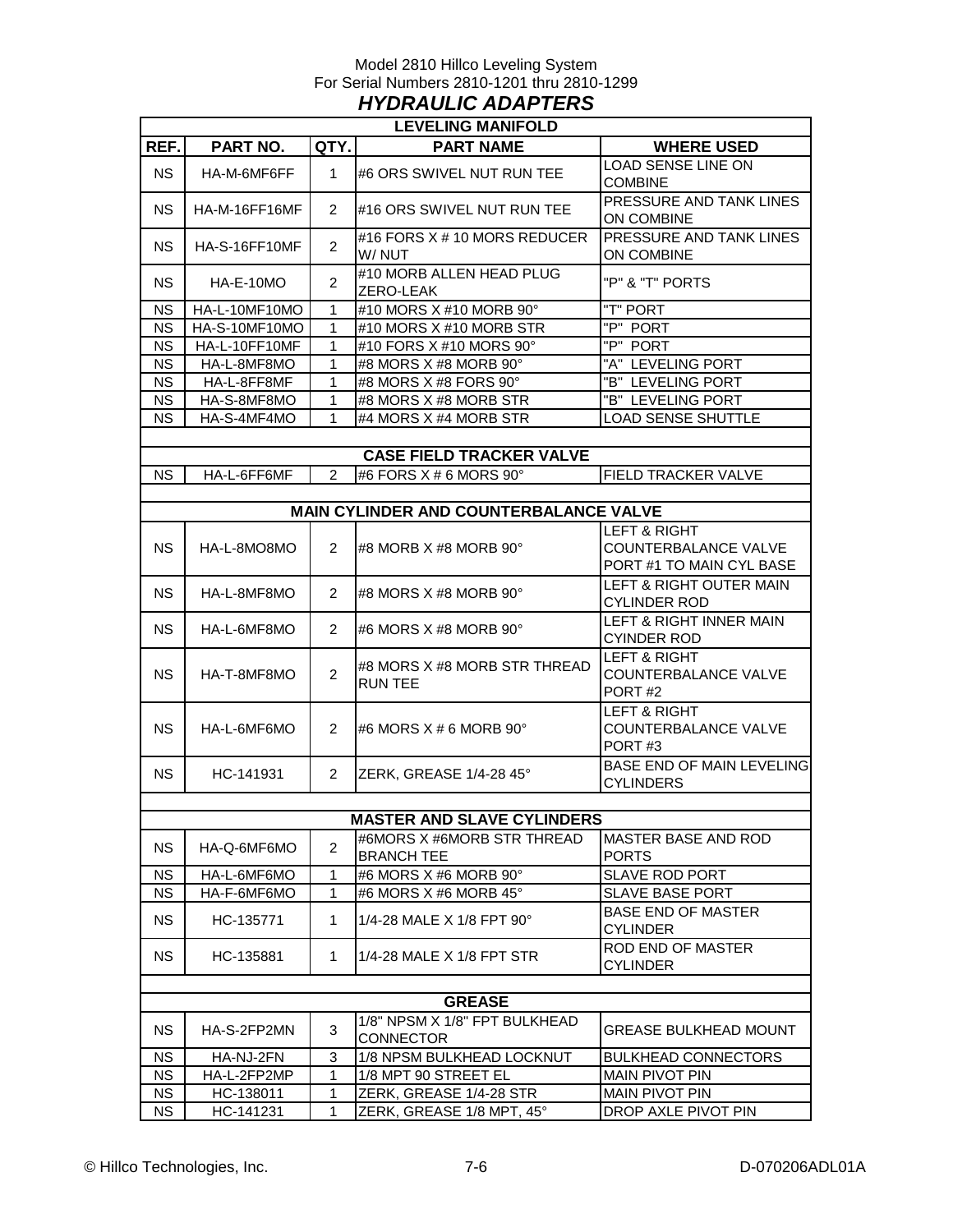#### Model 2810 Hillco Leveling System For Serial Numbers 2810-1201 thru 2810-1299 *HYDRAULIC ADAPTERS*

| <b>LEVELING MANIFOLD</b> |               |                |                                                   |                                                                             |  |  |  |
|--------------------------|---------------|----------------|---------------------------------------------------|-----------------------------------------------------------------------------|--|--|--|
| REF.                     | PART NO.      | QTY.           | <b>PART NAME</b>                                  | <b>WHERE USED</b>                                                           |  |  |  |
| <b>NS</b>                | HA-M-6MF6FF   | 1              | #6 ORS SWIVEL NUT RUN TEE                         | LOAD SENSE LINE ON<br><b>COMBINE</b>                                        |  |  |  |
| <b>NS</b>                | HA-M-16FF16MF | $\overline{2}$ | #16 ORS SWIVEL NUT RUN TEE                        | PRESSURE AND TANK LINES<br>ON COMBINE                                       |  |  |  |
| <b>NS</b>                | HA-S-16FF10MF | $\overline{2}$ | #16 FORS X # 10 MORS REDUCER<br>W/NUT             | PRESSURE AND TANK LINES<br>ON COMBINE                                       |  |  |  |
| <b>NS</b>                | HA-E-10MO     | $\overline{2}$ | #10 MORB ALLEN HEAD PLUG<br>ZERO-LEAK             | "P" & "T" PORTS                                                             |  |  |  |
| <b>NS</b>                | HA-L-10MF10MO | 1              | #10 MORS X #10 MORB 90°                           | "T" PORT                                                                    |  |  |  |
| <b>NS</b>                | HA-S-10MF10MO | 1              | #10 MORS X #10 MORB STR                           | "P" PORT                                                                    |  |  |  |
| <b>NS</b>                | HA-L-10FF10MF | 1              | #10 FORS X #10 MORS 90°                           | "P" PORT                                                                    |  |  |  |
| <b>NS</b>                | HA-L-8MF8MO   | 1              | #8 MORS X #8 MORB 90°                             | "A" LEVELING PORT                                                           |  |  |  |
| <b>NS</b>                | HA-L-8FF8MF   | 1              | #8 MORS X #8 FORS 90°                             | "B" LEVELING PORT                                                           |  |  |  |
| <b>NS</b>                | HA-S-8MF8MO   | 1              | #8 MORS X #8 MORB STR                             | "B" LEVELING PORT                                                           |  |  |  |
| <b>NS</b>                | HA-S-4MF4MO   | 1              | #4 MORS X #4 MORB STR                             | <b>LOAD SENSE SHUTTLE</b>                                                   |  |  |  |
|                          |               |                |                                                   |                                                                             |  |  |  |
|                          |               |                | <b>CASE FIELD TRACKER VALVE</b>                   |                                                                             |  |  |  |
| <b>NS</b>                | HA-L-6FF6MF   | $\overline{2}$ | #6 FORS X # 6 MORS 90°                            | <b>FIELD TRACKER VALVE</b>                                                  |  |  |  |
|                          |               |                |                                                   |                                                                             |  |  |  |
|                          |               |                | MAIN CYLINDER AND COUNTERBALANCE VALVE            |                                                                             |  |  |  |
| <b>NS</b>                | HA-L-8MO8MO   | $\overline{2}$ | #8 MORB X #8 MORB 90°                             | <b>LEFT &amp; RIGHT</b><br>COUNTERBALANCE VALVE<br>PORT #1 TO MAIN CYL BASE |  |  |  |
| <b>NS</b>                | HA-L-8MF8MO   | $\overline{2}$ | #8 MORS X #8 MORB 90°                             | LEFT & RIGHT OUTER MAIN<br><b>CYLINDER ROD</b>                              |  |  |  |
| <b>NS</b>                | HA-L-6MF8MO   | $\overline{2}$ | #6 MORS X #8 MORB 90°                             | LEFT & RIGHT INNER MAIN<br><b>CYINDER ROD</b>                               |  |  |  |
| <b>NS</b>                | HA-T-8MF8MO   | $\overline{2}$ | #8 MORS X #8 MORB STR THREAD<br><b>RUN TEE</b>    | <b>LEFT &amp; RIGHT</b><br>COUNTERBALANCE VALVE<br>PORT#2                   |  |  |  |
| <b>NS</b>                | HA-L-6MF6MO   | $\overline{2}$ | #6 MORS $X \# 6$ MORB 90 $^{\circ}$               | <b>LEFT &amp; RIGHT</b><br>COUNTERBALANCE VALVE<br>PORT#3                   |  |  |  |
| <b>NS</b>                | HC-141931     | $\overline{2}$ | ZERK, GREASE 1/4-28 45°                           | <b>BASE END OF MAIN LEVELING</b><br><b>CYLINDERS</b>                        |  |  |  |
|                          |               |                |                                                   |                                                                             |  |  |  |
|                          |               |                | <b>MASTER AND SLAVE CYLINDERS</b>                 |                                                                             |  |  |  |
| <b>NS</b>                | HA-Q-6MF6MO   | $\overline{2}$ | #6MORS X #6MORB STR THREAD<br><b>BRANCH TEE</b>   | <b>MASTER BASE AND ROD</b><br><b>PORTS</b>                                  |  |  |  |
| <b>NS</b>                | HA-L-6MF6MO   | 1              | #6 MORS X #6 MORB 90°                             | <b>SLAVE ROD PORT</b>                                                       |  |  |  |
| <b>NS</b>                | HA-F-6MF6MO   | 1              | #6 MORS X #6 MORB 45°                             | <b>SLAVE BASE PORT</b>                                                      |  |  |  |
| <b>NS</b>                | HC-135771     | 1              | 1/4-28 MALE X 1/8 FPT 90°                         | <b>BASE END OF MASTER</b><br><b>CYLINDER</b>                                |  |  |  |
| <b>NS</b>                | HC-135881     | 1              | 1/4-28 MALE X 1/8 FPT STR                         | <b>ROD END OF MASTER</b><br><b>CYLINDER</b>                                 |  |  |  |
|                          | <b>GREASE</b> |                |                                                   |                                                                             |  |  |  |
| <b>NS</b>                | HA-S-2FP2MN   | 3              | 1/8" NPSM X 1/8" FPT BULKHEAD<br><b>CONNECTOR</b> | GREASE BULKHEAD MOUNT                                                       |  |  |  |
| <b>NS</b>                | HA-NJ-2FN     | 3              | 1/8 NPSM BULKHEAD LOCKNUT                         | <b>BULKHEAD CONNECTORS</b>                                                  |  |  |  |
| <b>NS</b>                | HA-L-2FP2MP   | 1              | 1/8 MPT 90 STREET EL                              | <b>MAIN PIVOT PIN</b>                                                       |  |  |  |
| NS                       | HC-138011     | 1              | ZERK, GREASE 1/4-28 STR                           | <b>MAIN PIVOT PIN</b>                                                       |  |  |  |
| NS.                      | HC-141231     | 1              | ZERK, GREASE 1/8 MPT, 45°                         | DROP AXLE PIVOT PIN                                                         |  |  |  |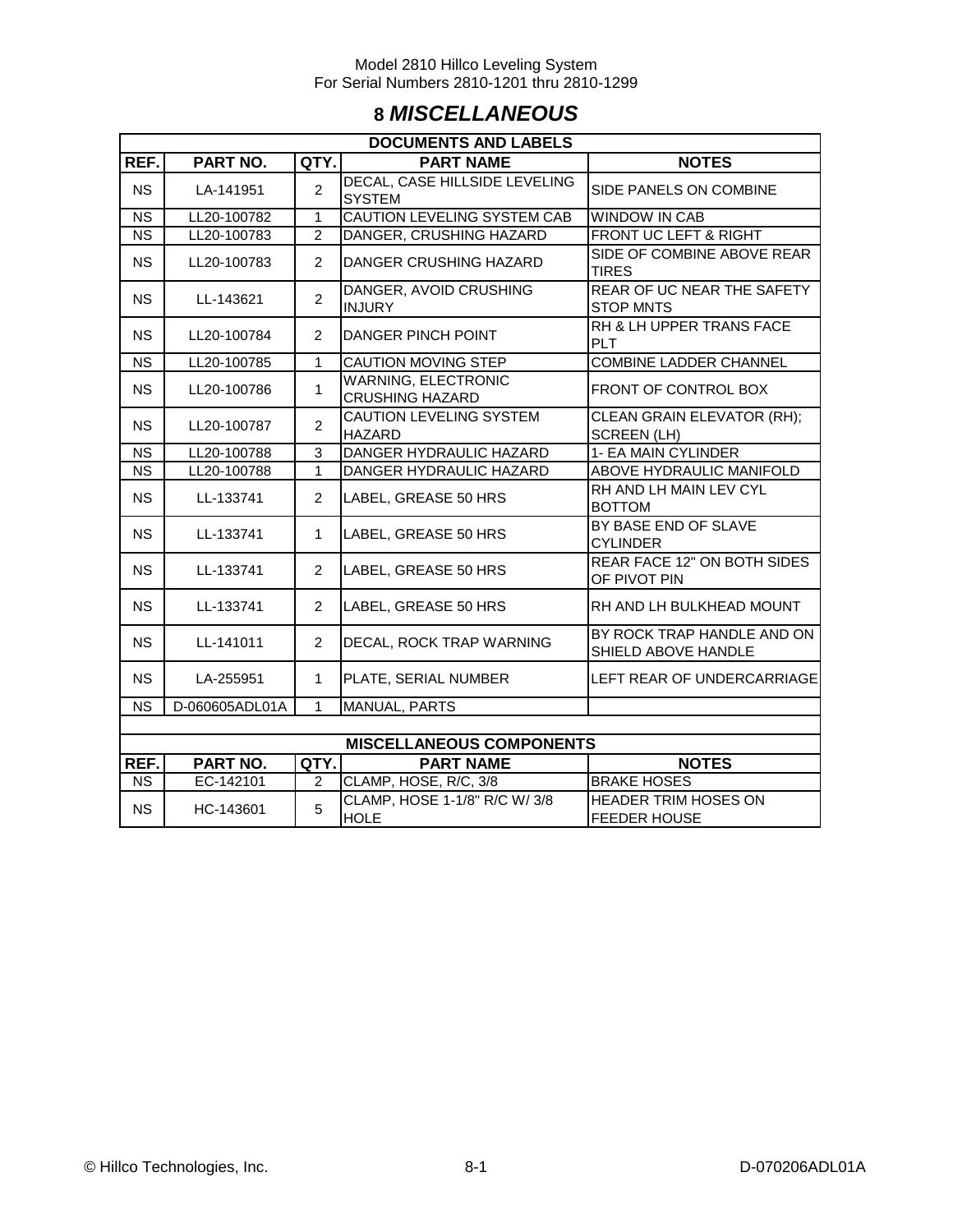## **8** *MISCELLANEOUS*

|                        | <b>DOCUMENTS AND LABELS</b> |                |                                                      |                                                    |  |  |  |  |
|------------------------|-----------------------------|----------------|------------------------------------------------------|----------------------------------------------------|--|--|--|--|
| REF.                   | PART NO.                    | QTY.           | <b>PART NAME</b>                                     | <b>NOTES</b>                                       |  |  |  |  |
| <b>NS</b>              | LA-141951                   | $\overline{2}$ | DECAL, CASE HILLSIDE LEVELING<br><b>SYSTEM</b>       | SIDE PANELS ON COMBINE                             |  |  |  |  |
| <b>NS</b>              | LL20-100782                 | 1              | <b>CAUTION LEVELING SYSTEM CAB</b>                   | <b>WINDOW IN CAB</b>                               |  |  |  |  |
| <b>NS</b>              | LL20-100783                 | $\overline{2}$ | DANGER, CRUSHING HAZARD                              | FRONT UC LEFT & RIGHT                              |  |  |  |  |
| <b>NS</b>              | LL20-100783                 | 2              | DANGER CRUSHING HAZARD                               | SIDE OF COMBINE ABOVE REAR<br><b>TIRES</b>         |  |  |  |  |
| <b>NS</b>              | LL-143621                   | $\overline{2}$ | DANGER, AVOID CRUSHING<br><b>INJURY</b>              | REAR OF UC NEAR THE SAFETY<br><b>STOP MNTS</b>     |  |  |  |  |
| <b>NS</b>              | LL20-100784                 | $\overline{2}$ | <b>DANGER PINCH POINT</b>                            | RH & LH UPPER TRANS FACE<br><b>PLT</b>             |  |  |  |  |
| <b>NS</b>              | LL20-100785                 | 1              | CAUTION MOVING STEP                                  | COMBINE LADDER CHANNEL                             |  |  |  |  |
| <b>NS</b>              | LL20-100786                 | $\mathbf{1}$   | <b>WARNING, ELECTRONIC</b><br><b>CRUSHING HAZARD</b> | FRONT OF CONTROL BOX                               |  |  |  |  |
| <b>NS</b>              | LL20-100787                 | $\overline{2}$ | CAUTION LEVELING SYSTEM<br><b>HAZARD</b>             | CLEAN GRAIN ELEVATOR (RH);<br><b>SCREEN (LH)</b>   |  |  |  |  |
| <b>NS</b>              | LL20-100788                 | 3              | DANGER HYDRAULIC HAZARD                              | 1- EA MAIN CYLINDER                                |  |  |  |  |
| <b>NS</b>              | LL20-100788                 | 1              | DANGER HYDRAULIC HAZARD                              | ABOVE HYDRAULIC MANIFOLD                           |  |  |  |  |
| <b>NS</b>              | LL-133741                   | $\overline{2}$ | LABEL, GREASE 50 HRS                                 | RH AND LH MAIN LEV CYL<br><b>BOTTOM</b>            |  |  |  |  |
| <b>NS</b>              | LL-133741                   | 1              | LABEL, GREASE 50 HRS                                 | BY BASE END OF SLAVE<br><b>CYLINDER</b>            |  |  |  |  |
| <b>NS</b>              | LL-133741                   | $\overline{2}$ | LABEL, GREASE 50 HRS                                 | REAR FACE 12" ON BOTH SIDES<br>OF PIVOT PIN        |  |  |  |  |
| <b>NS</b>              | LL-133741                   | $\overline{2}$ | LABEL, GREASE 50 HRS                                 | RH AND LH BULKHEAD MOUNT                           |  |  |  |  |
| <b>NS</b>              | LL-141011                   | $\overline{2}$ | DECAL, ROCK TRAP WARNING                             | BY ROCK TRAP HANDLE AND ON<br>SHIELD ABOVE HANDLE  |  |  |  |  |
| <b>NS</b>              | LA-255951                   | 1              | PLATE, SERIAL NUMBER                                 | LEFT REAR OF UNDERCARRIAGE                         |  |  |  |  |
| <b>NS</b>              | D-060605ADL01A              | 1              | MANUAL, PARTS                                        |                                                    |  |  |  |  |
|                        |                             |                |                                                      |                                                    |  |  |  |  |
|                        |                             |                | <b>MISCELLANEOUS COMPONENTS</b>                      |                                                    |  |  |  |  |
| REF.                   | PART NO.                    | QTY.           | <b>PART NAME</b>                                     | <b>NOTES</b>                                       |  |  |  |  |
| $\overline{\text{NS}}$ | EC-142101                   | 2              | CLAMP, HOSE, R/C, 3/8                                | <b>BRAKE HOSES</b>                                 |  |  |  |  |
| <b>NS</b>              | HC-143601                   | 5              | CLAMP, HOSE 1-1/8" R/C W/ 3/8<br><b>HOLE</b>         | <b>HEADER TRIM HOSES ON</b><br><b>FEEDER HOUSE</b> |  |  |  |  |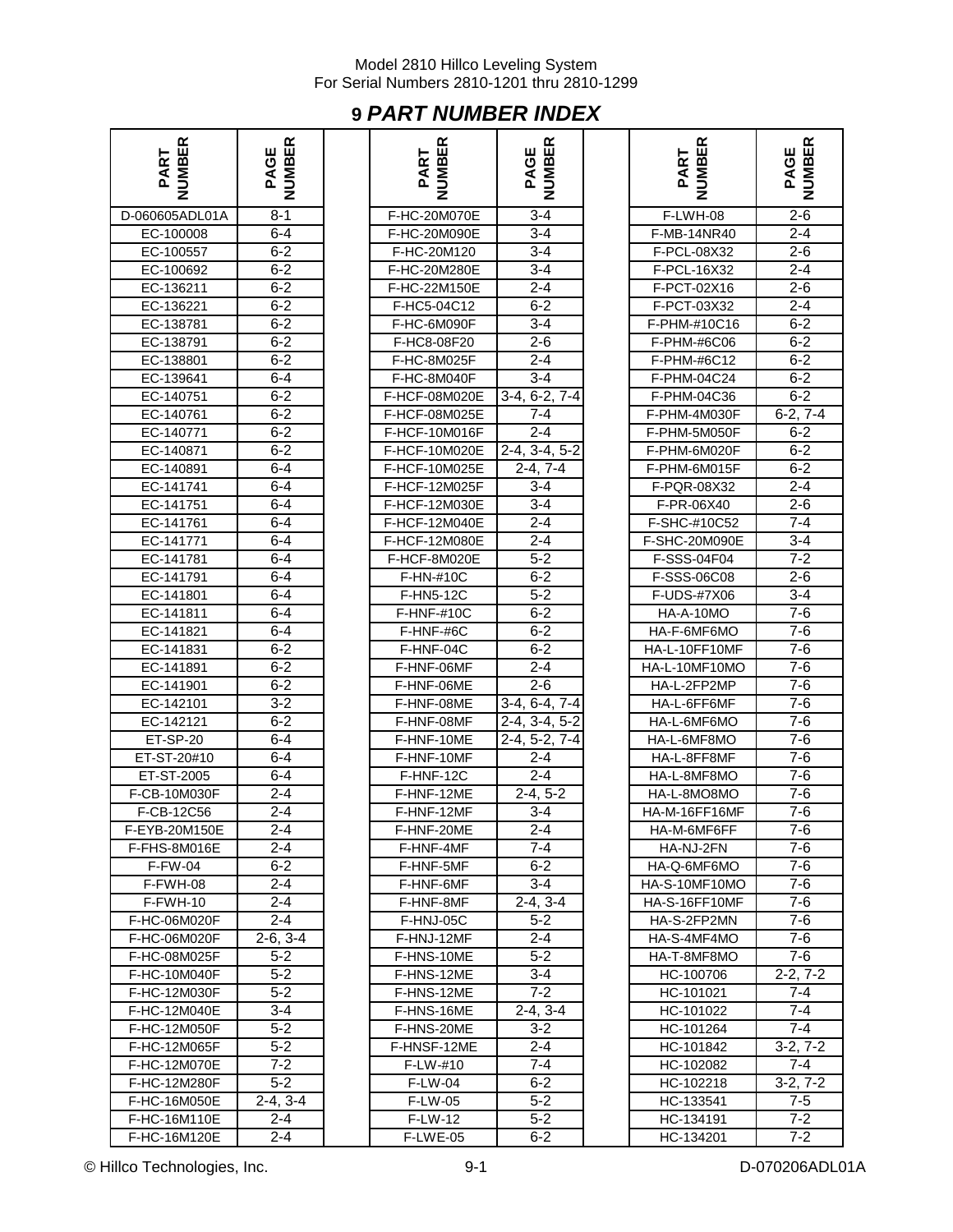## **9** *PART NUMBER INDEX*

| <b>IMBER</b><br>ART <sup></sup> | <b>IBER</b><br>PAGE |
|---------------------------------|---------------------|
| D-060605ADL01A                  | $8 - 1$             |
| EC-100008                       | $6 - 4$             |
| EC-100557                       | $6 - 2$             |
| EC-100692                       | $6 - 2$             |
| EC-136211                       | $6 - 2$             |
| EC-136221                       | $6 - 2$             |
| EC-138781                       | $6-2$               |
| EC-138791                       | $6 - 2$             |
|                                 |                     |
| EC-138801                       | $6 - 2$<br>$6 - 4$  |
| EC-139641                       |                     |
| EC-140751                       | $6 - 2$             |
| EC-140761                       | $6 - 2$             |
| EC-140771                       | $6 - 2$             |
| EC-140871                       | $6 - 2$             |
| EC-140891                       | $6 - 4$             |
| EC-141741                       | $6 - 4$             |
| EC-141751                       | $6 - 4$             |
| EC-141761                       | $6 - 4$             |
| EC-141771                       | $6 - 4$             |
| EC-141781                       | $6 - 4$             |
| EC-141791                       | $6-4$               |
| EC-141801                       | $6 - 4$             |
| EC-141811                       | $6 - 4$             |
| EC-141821                       | $6-4$               |
| EC-141831                       |                     |
|                                 | $6 - 2$             |
| EC-141891                       | $6 - 2$             |
| EC-141901                       | $6 - 2$             |
| EC-142101                       | $3 - 2$             |
| EC-142121                       | $6 - 2$             |
| ET-SP-20                        | $6 - 4$             |
| ET-ST-20#10                     | $6 - 4$             |
| ET-ST-2005                      | $6 - 4$             |
| F-CB-10M030F                    | $2 - 4$             |
| F-CB-12C56                      | 2-4                 |
| F-EYB-20M150E                   | 2-4                 |
| F-FHS-8M016E                    | $2 - 4$             |
| F-FW-04                         | 6-2                 |
| F-FWH-08                        | 2-4                 |
| F-FWH-10                        | $2 - 4$             |
| F-HC-06M020F                    | $2 - 4$             |
| F-HC-06M020F                    | $2-6, 3-4$          |
| F-HC-08M025F                    | 5-2                 |
|                                 |                     |
| F-HC-10M040F<br>F-HC-12M030F    | $5-2$<br>$5 - 2$    |
|                                 |                     |
| F-HC-12M040E                    | $3 - 4$             |
| F-HC-12M050F                    | $5-2$               |
| F-HC-12M065F                    | $5 - 2$             |
| F-HC-12M070E                    | $7 - 2$             |
| F-HC-12M280F                    | $5-2$               |
| F-HC-16M050E                    | $2-4, 3-4$          |
| F-HC-16M110E                    | $2 - 4$             |
| F-HC-16M120E                    | $2 - 4$             |

| <b>NUMBER</b><br>PART | PAGE<br>NUMBER | NUMBER<br>PART | <b>NUMBER</b><br>PAGE       | <b>NUMBER</b><br>PART | PAGE<br>NUMBER |
|-----------------------|----------------|----------------|-----------------------------|-----------------------|----------------|
| D-060605ADL01A        | $8 - 1$        | F-HC-20M070E   | $3 - 4$                     | F-LWH-08              | $2 - 6$        |
| EC-100008             | $6 - 4$        | F-HC-20M090E   | $3 - 4$                     | F-MB-14NR40           | $2 - 4$        |
| EC-100557             | $6 - 2$        | F-HC-20M120    | $3 - 4$                     | F-PCL-08X32           | $2 - 6$        |
| EC-100692             | $6 - 2$        | F-HC-20M280E   | $3 - 4$                     | F-PCL-16X32           | $2 - 4$        |
| EC-136211             | $6 - 2$        | F-HC-22M150E   | $2 - 4$                     | F-PCT-02X16           | $2 - 6$        |
| EC-136221             | $6 - 2$        | F-HC5-04C12    | $6 - 2$                     | F-PCT-03X32           | $2 - 4$        |
| EC-138781             | $6 - 2$        | F-HC-6M090F    | $3 - 4$                     | F-PHM-#10C16          | $6 - 2$        |
| EC-138791             | $6 - 2$        | F-HC8-08F20    | $2 - 6$                     | F-PHM-#6C06           | $6 - 2$        |
| EC-138801             | $6 - 2$        | F-HC-8M025F    | $2 - 4$                     | F-PHM-#6C12           | $6 - 2$        |
| EC-139641             | $6 - 4$        | F-HC-8M040F    | $3 - 4$                     | F-PHM-04C24           | $6 - 2$        |
| EC-140751             | $6 - 2$        | F-HCF-08M020E  | $\overline{3-4}$ , 6-2, 7-4 | F-PHM-04C36           | $6 - 2$        |
| EC-140761             | $6 - 2$        | F-HCF-08M025E  | 7-4                         | F-PHM-4M030F          | $6-2, 7-4$     |
| EC-140771             | $6 - 2$        | F-HCF-10M016F  | $2 - 4$                     | F-PHM-5M050F          | $6 - 2$        |
| EC-140871             | $6 - 2$        | F-HCF-10M020E  | $2-4, 3-4, 5-2$             | F-PHM-6M020F          | $6 - 2$        |
| EC-140891             | $6 - 4$        | F-HCF-10M025E  | $2-4, 7-4$                  | F-PHM-6M015F          | $6 - 2$        |
| EC-141741             | $6 - 4$        | F-HCF-12M025F  | $3 - 4$                     | F-PQR-08X32           | $2-4$          |
| EC-141751             | $6 - 4$        | F-HCF-12M030E  | $3 - 4$                     | F-PR-06X40            | $2 - 6$        |
| EC-141761             | $6 - 4$        | F-HCF-12M040E  | $2 - 4$                     | F-SHC-#10C52          | 7-4            |
| EC-141771             | $6 - 4$        | F-HCF-12M080E  | $2 - 4$                     | F-SHC-20M090E         | 3-4            |
| EC-141781             | 6-4            | F-HCF-8M020E   | $5 - 2$                     | F-SSS-04F04           | $7 - 2$        |
| EC-141791             | $6 - 4$        | F-HN-#10C      | $6 - 2$                     | F-SSS-06C08           | $2 - 6$        |
| EC-141801             | $6 - 4$        | F-HN5-12C      | $5 - 2$                     | F-UDS-#7X06           | $3 - 4$        |
| EC-141811             | $6 - 4$        | F-HNF-#10C     | $6 - 2$                     | HA-A-10MO             | $7-6$          |
| EC-141821             | $6 - 4$        | F-HNF-#6C      | $6 - 2$                     | HA-F-6MF6MO           | $7-6$          |
| EC-141831             | $6 - 2$        | F-HNF-04C      | $6 - 2$                     | HA-L-10FF10MF         | $7-6$          |
| EC-141891             | $6 - 2$        | F-HNF-06MF     | $2 - 4$                     | HA-L-10MF10MO         | $7-6$          |
| EC-141901             | $6 - 2$        | F-HNF-06ME     | $2 - 6$                     | HA-L-2FP2MP           | $7-6$          |
| EC-142101             | $3 - 2$        | F-HNF-08ME     | 3-4, 6-4, 7-4               | HA-L-6FF6MF           | $7-6$          |
| EC-142121             | $6 - 2$        | F-HNF-08MF     | 2-4, 3-4, 5-2               | HA-L-6MF6MO           | $7 - 6$        |
| ET-SP-20              | $6 - 4$        | F-HNF-10ME     | 2-4, 5-2, 7-4               | HA-L-6MF8MO           | $7 - 6$        |
| ET-ST-20#10           | $6 - 4$        | F-HNF-10MF     | $2 - 4$                     | HA-L-8FF8MF           | $7 - 6$        |
| ET-ST-2005            | $6 - 4$        | F-HNF-12C      | $2 - 4$                     | HA-L-8MF8MO           | $7 - 6$        |
| F-CB-10M030F          | $2 - 4$        | F-HNF-12ME     | $2-4, 5-2$                  | HA-L-8MO8MO           | $7 - 6$        |
| F-CB-12C56            | $2 - 4$        | F-HNF-12MF     | $3 - 4$                     | HA-M-16FF16MF         | $7-6$          |
| F-EYB-20M150E         | $2 - 4$        | F-HNF-20ME     | $2 - 4$                     | HA-M-6MF6FF           | $7 - 6$        |
| F-FHS-8M016E          | $2 - 4$        | F-HNF-4MF      | 7-4                         | HA-NJ-2FN             | 7-6            |
| F-FW-04               | 6-2            | F-HNF-5MF      | $6 - 2$                     | HA-Q-6MF6MO           | 7-6            |
| F-FWH-08              | $2 - 4$        | F-HNF-6MF      | $3 - 4$                     | HA-S-10MF10MO         | $7-6$          |
| F-FWH-10              | 2-4            | F-HNF-8MF      | $2-4, 3-4$                  | HA-S-16FF10MF         | 7-6            |
| F-HC-06M020F          | $2 - 4$        | F-HNJ-05C      | $5 - 2$                     | HA-S-2FP2MN           | 7-6            |
| F-HC-06M020F          | $2-6, 3-4$     | F-HNJ-12MF     | $2 - 4$                     | HA-S-4MF4MO           | 7-6            |
| F-HC-08M025F          | 5-2            | F-HNS-10ME     | $5 - 2$                     | HA-T-8MF8MO           | 7-6            |
| F-HC-10M040F          | $5 - 2$        | F-HNS-12ME     | 3-4                         | HC-100706             | $2 - 2, 7 - 2$ |
| F-HC-12M030F          | $5 - 2$        | F-HNS-12ME     | $\overline{7}$ -2           | HC-101021             | 7-4            |
| F-HC-12M040E          | $3 - 4$        | F-HNS-16ME     | $2-4, 3-4$                  | HC-101022             | 7-4            |
| F-HC-12M050F          | $5 - 2$        | F-HNS-20ME     | $3 - 2$                     | HC-101264             | $7 - 4$        |
| F-HC-12M065F          | $5 - 2$        | F-HNSF-12ME    | $2 - 4$                     | HC-101842             | $3-2, 7-2$     |
| F-HC-12M070E          | $7-2$          | F-LW-#10       | $7 - 4$                     | HC-102082             | 7-4            |
| F-HC-12M280F          | $5-2$          | F-LW-04        | $6 - 2$                     | HC-102218             | $3-2, 7-2$     |
| F-HC-16M050E          | $2-4, 3-4$     | <b>F-LW-05</b> | $5 - 2$                     | HC-133541             | $7-5$          |
| F-HC-16M110E          | 2-4            | <b>F-LW-12</b> | $5 - 2$                     | HC-134191             | $7 - 2$        |
| F-HC-16M120F          | $2 - 4$        | F-I WF-05      | $6-2$                       | HC-134201             | $7-2$          |

| ≃<br>VIBEI<br>PART | ≃<br>国<br>PAGE         |
|--------------------|------------------------|
| F-LWH-08           | $2 - 6$                |
| F-MB-14NR40        | $2 - 4$                |
| F-PCL-08X32        | $2 - 6$                |
| F-PCL-16X32        | $2 - 4$                |
| F-PCT-02X16        | 2-6                    |
| F-PCT-03X32        | 2-4                    |
| F-PHM-#10C16       | $6 - 2$                |
| F-PHM-#6C06        | $6 - 2$                |
| F-PHM-#6C12        | $6 - 2$                |
| F-PHM-04C24        | $6 - 2$                |
| F-PHM-04C36        | $6 - 2$                |
| F-PHM-4M030F       | $6-2, 7-4$             |
| F-PHM-5M050F       | $6 - 2$                |
| F-PHM-6M020F       | $6 - 2$                |
| F-PHM-6M015F       | $6 - 2$                |
| F-PQR-08X32        | $2 - 4$                |
| F-PR-06X40         | $2 - 6$                |
| F-SHC-#10C52       | $7 - 4$                |
| F-SHC-20M090E      | $3 - 4$                |
| F-SSS-04F04        | $7 - 2$                |
| F-SSS-06C08        | $2 - 6$                |
| F-UDS-#7X06        | $3 - 4$                |
| HA-A-10MO          | 7-6                    |
| HA-F-6MF6MO        | 7-6                    |
| HA-L-10FF10MF      | 7-6                    |
| HA-L-10MF10MO      | 7-6                    |
| HA-L-2FP2MP        | 7-6                    |
| HA-L-6FF6MF        | 7-6                    |
| HA-L-6MF6MO        | $7-6$                  |
| HA-L-6MF8MO        | 7-6                    |
| HA-L-8FF8MF        | 7-6                    |
| HA-L-8MF8MO        | 7-6                    |
| HA-L-8MO8MO        | 7-6                    |
| HA-M-16FF16MF      | 7-6                    |
| HA-M-6MF6FF        | $7-6$                  |
| HA-NJ-2FN          | 7-6                    |
| HA-Q-6MF6MO        | 7-6                    |
| HA-S-10MF10MO      | $7-6$                  |
| HA-S-16FF10MF      | $7-6$                  |
| HA-S-2FP2MN        | 7-6                    |
| HA-S-4MF4MO        | 7-6                    |
| HA-T-8MF8MO        | $7-6$                  |
| HC-100706          | $2-2, 7-2$             |
| HC-101021          | $7 - 4$                |
| HC-101022          | $7 - 4$                |
| HC-101264          | $7 - 4$                |
| HC-101842          | $3-2, 7-2$             |
| HC-102082          | $7 - 4$                |
| HC-102218          | $\overline{3}$ -2, 7-2 |
| HC-133541          | $7 - 5$                |
| HC-134191          | $7 - 2$                |
| HC-134201          | 7-2                    |

© Hillco Technologies, Inc. 9-1 D-070206ADL01A